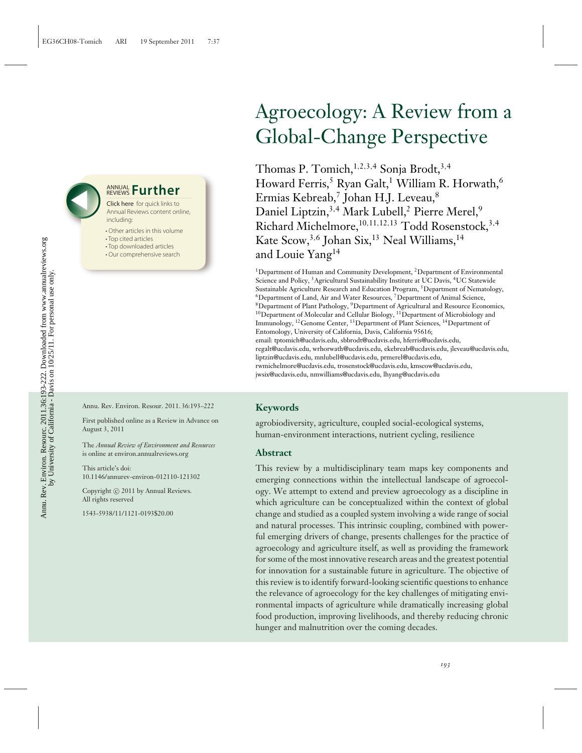# **ANNUAL Further**

Click here for quick links to Annual Reviews content online, including:

- Other articles in this volume
- Top cited articles
- Top downloaded articles
- Our comprehensive search

# Agroecology: A Review from a Global-Change Perspective

Thomas P. Tomich, 1,2,3,4 Sonja Brodt, 3,4 Howard Ferris,<sup>5</sup> Ryan Galt,<sup>1</sup> William R. Horwath,<sup>6</sup> Ermias Kebreab,<sup>7</sup> Johan H.J. Leveau,<sup>8</sup> Daniel Liptzin,<sup>3,4</sup> Mark Lubell,<sup>2</sup> Pierre Merel,<sup>9</sup> Richard Michelmore,  $10,11,12,13$  Todd Rosenstock,  $3,4$ Kate Scow,  $3,6$  Johan Six,  $13$  Neal Williams,  $14$ and Louie Yang14

1Department of Human and Community Development, 2Department of Environmental Science and Policy, 3Agricultural Sustainability Institute at UC Davis, 4UC Statewide Sustainable Agriculture Research and Education Program, 5Department of Nematology, <sup>6</sup>Department of Land, Air and Water Resources, <sup>7</sup>Department of Animal Science, 8Department of Plant Pathology, 9Department of Agricultural and Resource Economics, <sup>10</sup>Department of Molecular and Cellular Biology, <sup>11</sup> Department of Microbiology and Immunology, <sup>12</sup> Genome Center, <sup>13</sup> Department of Plant Sciences, <sup>14</sup> Department of Entomology, University of California, Davis, California 95616; email: tptomich@ucdavis.edu, sbbrodt@ucdavis.edu, hferris@ucdavis.edu, regalt@ucdavis.edu, wrhorwath@ucdavis.edu, ekebreab@ucdavis.edu, jleveau@ucdavis.edu, liptzin@ucdavis.edu, mnlubell@ucdavis.edu, prmerel@ucdavis.edu, rwmichelmore@ucdavis.edu, trosenstock@ucdavis.edu, kmscow@ucdavis.edu, jwsix@ucdavis.edu, nmwilliams@ucdavis.edu, lhyang@ucdavis.edu

Annu. Rev. Environ. Resour. 2011. 36:193–222

First published online as a Review in Advance on August 3, 2011

The *Annual Review of Environment and Resources* is online at environ.annualreviews.org

This article's doi: 10.1146/annurev-environ-012110-121302

Copyright © 2011 by Annual Reviews. All rights reserved

1543-5938/11/1121-0193\$20.00

### **Keywords**

agrobiodiversity, agriculture, coupled social-ecological systems, human-environment interactions, nutrient cycling, resilience

### **Abstract**

This review by a multidisciplinary team maps key components and emerging connections within the intellectual landscape of agroecology. We attempt to extend and preview agroecology as a discipline in which agriculture can be conceptualized within the context of global change and studied as a coupled system involving a wide range of social and natural processes. This intrinsic coupling, combined with powerful emerging drivers of change, presents challenges for the practice of agroecology and agriculture itself, as well as providing the framework for some of the most innovative research areas and the greatest potential for innovation for a sustainable future in agriculture. The objective of this review is to identify forward-looking scientific questions to enhance the relevance of agroecology for the key challenges of mitigating environmental impacts of agriculture while dramatically increasing global food production, improving livelihoods, and thereby reducing chronic hunger and malnutrition over the coming decades.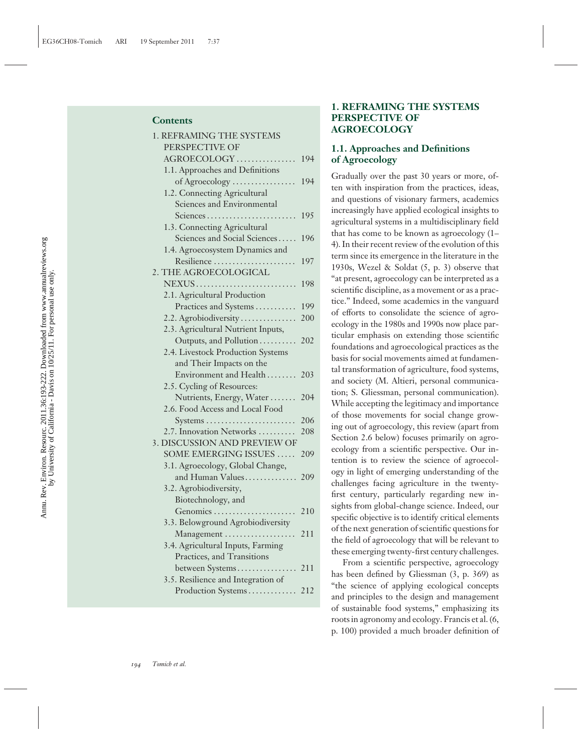### **Contents**

| 1. REFRAMING THE SYSTEMS           |     |
|------------------------------------|-----|
| PERSPECTIVE OF                     |     |
| AGROECOLOGY                        | 194 |
| 1.1. Approaches and Definitions    |     |
| of Agroecology                     | 194 |
| 1.2. Connecting Agricultural       |     |
| Sciences and Environmental         |     |
| Sciences                           | 195 |
| 1.3. Connecting Agricultural       |     |
| Sciences and Social Sciences       | 196 |
| 1.4. Agroecosystem Dynamics and    |     |
| Resilience                         | 197 |
| 2. THE AGROECOLOGICAL              |     |
| NEXUS                              | 198 |
| 2.1. Agricultural Production       |     |
| Practices and Systems              | 199 |
| 2.2. Agrobiodiversity              | 200 |
| 2.3. Agricultural Nutrient Inputs, |     |
| Outputs, and Pollution             | 202 |
| 2.4. Livestock Production Systems  |     |
| and Their Impacts on the           |     |
| Environment and Health             | 203 |
| 2.5. Cycling of Resources:         |     |
| Nutrients, Energy, Water           | 204 |
| 2.6. Food Access and Local Food    |     |
| Systems                            | 206 |
| 2.7. Innovation Networks           | 208 |
| 3. DISCUSSION AND PREVIEW OF       |     |
| SOME EMERGING ISSUES               | 209 |
| 3.1. Agroecology, Global Change,   |     |
| and Human Values                   | 209 |
| 3.2. Agrobiodiversity,             |     |
| Biotechnology, and                 |     |
| Genomics<br>1.1.1.1                | 210 |
| 3.3. Belowground Agrobiodiversity  |     |
| Management                         | 211 |
| 3.4. Agricultural Inputs, Farming  |     |
| Practices, and Transitions         |     |
| between Systems                    | 211 |
| 3.5. Resilience and Integration of |     |
| Production Systems                 | 212 |
|                                    |     |

# **1. REFRAMING THE SYSTEMS PERSPECTIVE OF AGROECOLOGY**

# **1.1. Approaches and Definitions of Agroecology**

Gradually over the past 30 years or more, often with inspiration from the practices, ideas, and questions of visionary farmers, academics increasingly have applied ecological insights to agricultural systems in a multidisciplinary field that has come to be known as agroecology (1– 4). In their recent review of the evolution of this term since its emergence in the literature in the 1930s, Wezel & Soldat (5, p. 3) observe that "at present, agroecology can be interpreted as a scientific discipline, as a movement or as a practice." Indeed, some academics in the vanguard of efforts to consolidate the science of agroecology in the 1980s and 1990s now place particular emphasis on extending those scientific foundations and agroecological practices as the basis for social movements aimed at fundamental transformation of agriculture, food systems, and society (M. Altieri, personal communication; S. Gliessman, personal communication). While accepting the legitimacy and importance of those movements for social change growing out of agroecology, this review (apart from Section 2.6 below) focuses primarily on agroecology from a scientific perspective. Our intention is to review the science of agroecology in light of emerging understanding of the challenges facing agriculture in the twentyfirst century, particularly regarding new insights from global-change science. Indeed, our specific objective is to identify critical elements of the next generation of scientific questions for the field of agroecology that will be relevant to these emerging twenty-first century challenges.

From a scientific perspective, agroecology has been defined by Gliessman (3, p. 369) as "the science of applying ecological concepts and principles to the design and management of sustainable food systems," emphasizing its roots in agronomy and ecology. Francis et al. (6, p. 100) provided a much broader definition of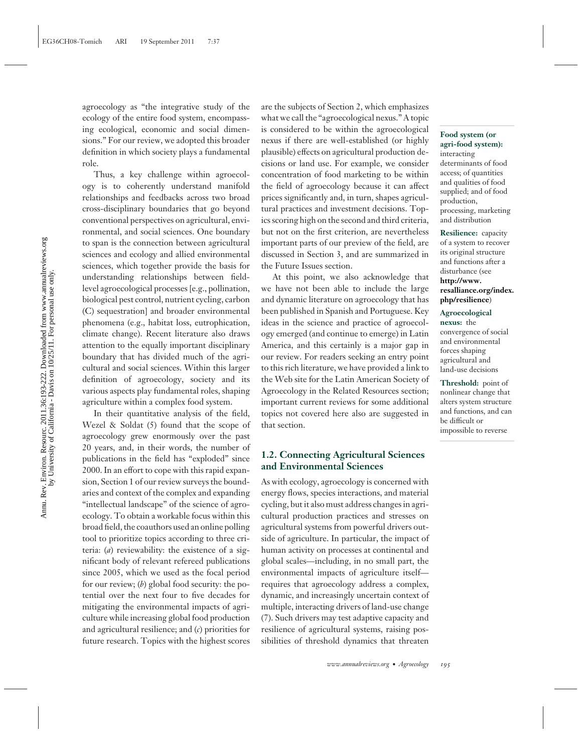Annu.

agroecology as "the integrative study of the ecology of the entire food system, encompassing ecological, economic and social dimensions." For our review, we adopted this broader definition in which society plays a fundamental role.

Thus, a key challenge within agroecology is to coherently understand manifold relationships and feedbacks across two broad cross-disciplinary boundaries that go beyond conventional perspectives on agricultural, environmental, and social sciences. One boundary to span is the connection between agricultural sciences and ecology and allied environmental sciences, which together provide the basis for understanding relationships between fieldlevel agroecological processes [e.g., pollination, biological pest control, nutrient cycling, carbon (C) sequestration] and broader environmental phenomena (e.g., habitat loss, eutrophication, climate change). Recent literature also draws attention to the equally important disciplinary boundary that has divided much of the agricultural and social sciences. Within this larger definition of agroecology, society and its various aspects play fundamental roles, shaping agriculture within a complex food system.

In their quantitative analysis of the field, Wezel & Soldat (5) found that the scope of agroecology grew enormously over the past 20 years, and, in their words, the number of publications in the field has "exploded" since 2000. In an effort to cope with this rapid expansion, Section 1 of our review surveys the boundaries and context of the complex and expanding "intellectual landscape" of the science of agroecology. To obtain a workable focus within this broad field, the coauthors used an online polling tool to prioritize topics according to three criteria: (*a*) reviewability: the existence of a significant body of relevant refereed publications since 2005, which we used as the focal period for our review; (*b*) global food security: the potential over the next four to five decades for mitigating the environmental impacts of agriculture while increasing global food production and agricultural resilience; and (*c*) priorities for future research. Topics with the highest scores

are the subjects of Section 2, which emphasizes what we call the "agroecological nexus." A topic is considered to be within the agroecological nexus if there are well-established (or highly plausible) effects on agricultural production decisions or land use. For example, we consider concentration of food marketing to be within the field of agroecology because it can affect prices significantly and, in turn, shapes agricultural practices and investment decisions. Topics scoring high on the second and third criteria, but not on the first criterion, are nevertheless important parts of our preview of the field, are discussed in Section 3, and are summarized in the Future Issues section.

At this point, we also acknowledge that we have not been able to include the large and dynamic literature on agroecology that has been published in Spanish and Portuguese. Key ideas in the science and practice of agroecology emerged (and continue to emerge) in Latin America, and this certainly is a major gap in our review. For readers seeking an entry point to this rich literature, we have provided a link to the Web site for the Latin American Society of Agroecology in the Related Resources section; important current reviews for some additional topics not covered here also are suggested in that section.

# **1.2. Connecting Agricultural Sciences and Environmental Sciences**

As with ecology, agroecology is concerned with energy flows, species interactions, and material cycling, but it also must address changes in agricultural production practices and stresses on agricultural systems from powerful drivers outside of agriculture. In particular, the impact of human activity on processes at continental and global scales—including, in no small part, the environmental impacts of agriculture itself requires that agroecology address a complex, dynamic, and increasingly uncertain context of multiple, interacting drivers of land-use change (7). Such drivers may test adaptive capacity and resilience of agricultural systems, raising possibilities of threshold dynamics that threaten

#### **Food system (or agri-food system):** interacting

determinants of food access; of quantities and qualities of food supplied; and of food production, processing, marketing and distribution

**Resilience:** capacity of a system to recover its original structure and functions after a disturbance (see **[http://www.](http://www.resalliance.org/index.php/resilience) [resalliance.org/index.](http://www.resalliance.org/index.php/resilience) [php/resilience](http://www.resalliance.org/index.php/resilience)**)

### **Agroecological**

**nexus:** the convergence of social and environmental forces shaping agricultural and land-use decisions

**Threshold:** point of nonlinear change that alters system structure and functions, and can be difficult or impossible to reverse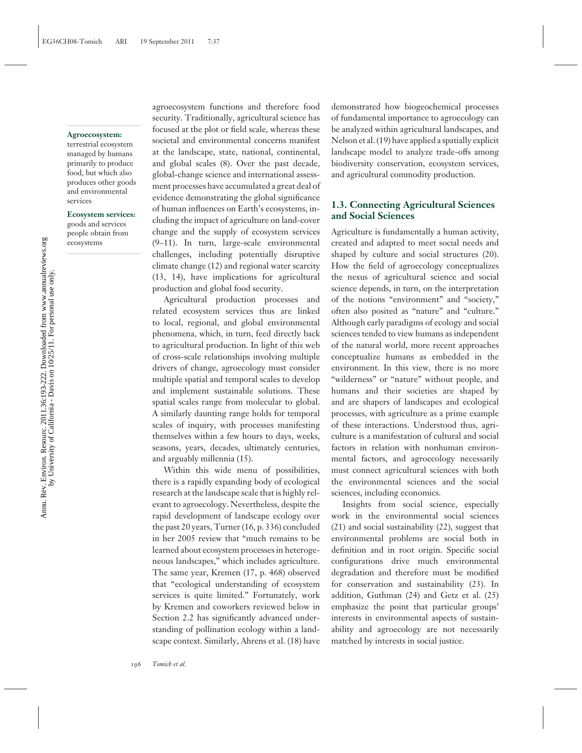#### **Agroecosystem:**

terrestrial ecosystem managed by humans primarily to produce food, but which also produces other goods and environmental services

### **Ecosystem services:**

goods and services people obtain from ecosystems

agroecosystem functions and therefore food security. Traditionally, agricultural science has focused at the plot or field scale, whereas these societal and environmental concerns manifest at the landscape, state, national, continental, and global scales (8). Over the past decade, global-change science and international assessment processes have accumulated a great deal of evidence demonstrating the global significance of human influences on Earth's ecosystems, including the impact of agriculture on land-cover change and the supply of ecosystem services (9–11). In turn, large-scale environmental challenges, including potentially disruptive climate change (12) and regional water scarcity (13, 14), have implications for agricultural production and global food security.

Agricultural production processes and related ecosystem services thus are linked to local, regional, and global environmental phenomena, which, in turn, feed directly back to agricultural production. In light of this web of cross-scale relationships involving multiple drivers of change, agroecology must consider multiple spatial and temporal scales to develop and implement sustainable solutions. These spatial scales range from molecular to global. A similarly daunting range holds for temporal scales of inquiry, with processes manifesting themselves within a few hours to days, weeks, seasons, years, decades, ultimately centuries, and arguably millennia (15).

Within this wide menu of possibilities, there is a rapidly expanding body of ecological research at the landscape scale that is highly relevant to agroecology. Nevertheless, despite the rapid development of landscape ecology over the past 20 years, Turner (16, p. 336) concluded in her 2005 review that "much remains to be learned about ecosystem processes in heterogeneous landscapes," which includes agriculture. The same year, Kremen (17, p. 468) observed that "ecological understanding of ecosystem services is quite limited." Fortunately, work by Kremen and coworkers reviewed below in Section 2.2 has significantly advanced understanding of pollination ecology within a landscape context. Similarly, Ahrens et al. (18) have

demonstrated how biogeochemical processes of fundamental importance to agroecology can be analyzed within agricultural landscapes, and Nelson et al. (19) have applied a spatially explicit landscape model to analyze trade-offs among biodiversity conservation, ecosystem services, and agricultural commodity production.

### **1.3. Connecting Agricultural Sciences and Social Sciences**

Agriculture is fundamentally a human activity, created and adapted to meet social needs and shaped by culture and social structures (20). How the field of agroecology conceptualizes the nexus of agricultural science and social science depends, in turn, on the interpretation of the notions "environment" and "society," often also posited as "nature" and "culture." Although early paradigms of ecology and social sciences tended to view humans as independent of the natural world, more recent approaches conceptualize humans as embedded in the environment. In this view, there is no more "wilderness" or "nature" without people, and humans and their societies are shaped by and are shapers of landscapes and ecological processes, with agriculture as a prime example of these interactions. Understood thus, agriculture is a manifestation of cultural and social factors in relation with nonhuman environmental factors, and agroecology necessarily must connect agricultural sciences with both the environmental sciences and the social sciences, including economics.

Insights from social science, especially work in the environmental social sciences (21) and social sustainability (22), suggest that environmental problems are social both in definition and in root origin. Specific social configurations drive much environmental degradation and therefore must be modified for conservation and sustainability (23). In addition, Guthman (24) and Getz et al. (25) emphasize the point that particular groups' interests in environmental aspects of sustainability and agroecology are not necessarily matched by interests in social justice.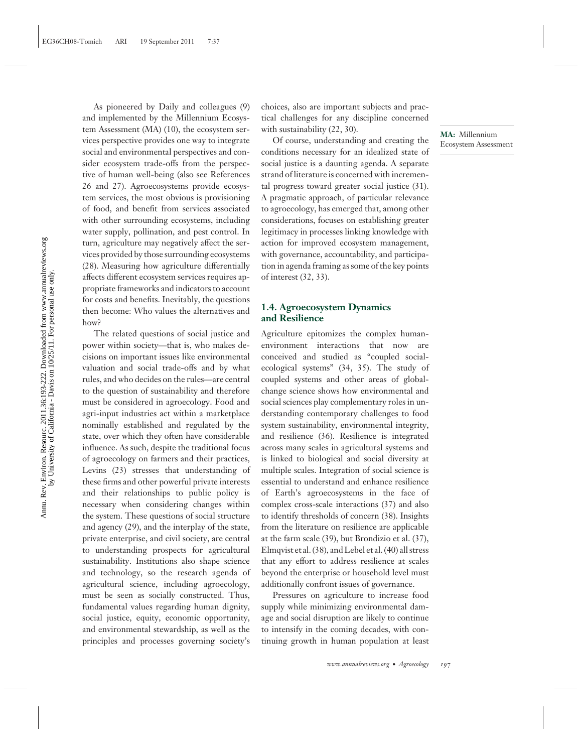As pioneered by Daily and colleagues (9) and implemented by the Millennium Ecosystem Assessment (MA) (10), the ecosystem services perspective provides one way to integrate social and environmental perspectives and consider ecosystem trade-offs from the perspective of human well-being (also see References 26 and 27). Agroecosystems provide ecosystem services, the most obvious is provisioning of food, and benefit from services associated with other surrounding ecosystems, including water supply, pollination, and pest control. In turn, agriculture may negatively affect the services provided by those surrounding ecosystems (28). Measuring how agriculture differentially affects different ecosystem services requires appropriate frameworks and indicators to account for costs and benefits. Inevitably, the questions then become: Who values the alternatives and how?

The related questions of social justice and power within society—that is, who makes decisions on important issues like environmental valuation and social trade-offs and by what rules, and who decides on the rules—are central to the question of sustainability and therefore must be considered in agroecology. Food and agri-input industries act within a marketplace nominally established and regulated by the state, over which they often have considerable influence. As such, despite the traditional focus of agroecology on farmers and their practices, Levins (23) stresses that understanding of these firms and other powerful private interests and their relationships to public policy is necessary when considering changes within the system. These questions of social structure and agency (29), and the interplay of the state, private enterprise, and civil society, are central to understanding prospects for agricultural sustainability. Institutions also shape science and technology, so the research agenda of agricultural science, including agroecology, must be seen as socially constructed. Thus, fundamental values regarding human dignity, social justice, equity, economic opportunity, and environmental stewardship, as well as the principles and processes governing society's choices, also are important subjects and practical challenges for any discipline concerned with sustainability (22, 30).

Of course, understanding and creating the conditions necessary for an idealized state of social justice is a daunting agenda. A separate strand of literature is concerned with incremental progress toward greater social justice (31). A pragmatic approach, of particular relevance to agroecology, has emerged that, among other considerations, focuses on establishing greater legitimacy in processes linking knowledge with action for improved ecosystem management, with governance, accountability, and participation in agenda framing as some of the key points of interest (32, 33).

### **1.4. Agroecosystem Dynamics and Resilience**

Agriculture epitomizes the complex humanenvironment interactions that now are conceived and studied as "coupled socialecological systems" (34, 35). The study of coupled systems and other areas of globalchange science shows how environmental and social sciences play complementary roles in understanding contemporary challenges to food system sustainability, environmental integrity, and resilience (36). Resilience is integrated across many scales in agricultural systems and is linked to biological and social diversity at multiple scales. Integration of social science is essential to understand and enhance resilience of Earth's agroecosystems in the face of complex cross-scale interactions (37) and also to identify thresholds of concern (38). Insights from the literature on resilience are applicable at the farm scale (39), but Brondizio et al. (37), Elmqvist et al. (38), and Lebel et al. (40) all stress that any effort to address resilience at scales beyond the enterprise or household level must additionally confront issues of governance.

Pressures on agriculture to increase food supply while minimizing environmental damage and social disruption are likely to continue to intensify in the coming decades, with continuing growth in human population at least

# **MA:** Millennium Ecosystem Assessment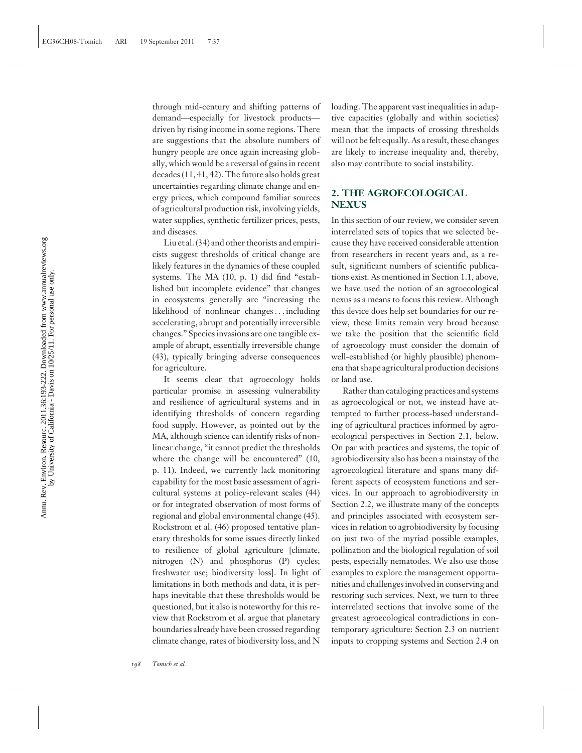through mid-century and shifting patterns of demand—especially for livestock products driven by rising income in some regions. There are suggestions that the absolute numbers of hungry people are once again increasing globally, which would be a reversal of gains in recent decades (11, 41, 42). The future also holds great uncertainties regarding climate change and energy prices, which compound familiar sources of agricultural production risk, involving yields, water supplies, synthetic fertilizer prices, pests, and diseases.

Liu et al. (34) and other theorists and empiricists suggest thresholds of critical change are likely features in the dynamics of these coupled systems. The MA (10, p. 1) did find "established but incomplete evidence" that changes in ecosystems generally are "increasing the likelihood of nonlinear changes... including accelerating, abrupt and potentially irreversible changes." Species invasions are one tangible example of abrupt, essentially irreversible change (43), typically bringing adverse consequences for agriculture.

It seems clear that agroecology holds particular promise in assessing vulnerability and resilience of agricultural systems and in identifying thresholds of concern regarding food supply. However, as pointed out by the MA, although science can identify risks of nonlinear change, "it cannot predict the thresholds where the change will be encountered" (10, p. 11). Indeed, we currently lack monitoring capability for the most basic assessment of agricultural systems at policy-relevant scales (44) or for integrated observation of most forms of regional and global environmental change (45). Rockstrom et al. (46) proposed tentative planetary thresholds for some issues directly linked to resilience of global agriculture [climate, nitrogen (N) and phosphorus (P) cycles; freshwater use; biodiversity loss]. In light of limitations in both methods and data, it is perhaps inevitable that these thresholds would be questioned, but it also is noteworthy for this review that Rockstrom et al. argue that planetary boundaries already have been crossed regarding climate change, rates of biodiversity loss, and N

loading. The apparent vast inequalities in adaptive capacities (globally and within societies) mean that the impacts of crossing thresholds will not be felt equally. As a result, these changes are likely to increase inequality and, thereby, also may contribute to social instability.

### **2. THE AGROECOLOGICAL NEXUS**

In this section of our review, we consider seven interrelated sets of topics that we selected because they have received considerable attention from researchers in recent years and, as a result, significant numbers of scientific publications exist. As mentioned in Section 1.1, above, we have used the notion of an agroecological nexus as a means to focus this review. Although this device does help set boundaries for our review, these limits remain very broad because we take the position that the scientific field of agroecology must consider the domain of well-established (or highly plausible) phenomena that shape agricultural production decisions or land use.

Rather than cataloging practices and systems as agroecological or not, we instead have attempted to further process-based understanding of agricultural practices informed by agroecological perspectives in Section 2.1, below. On par with practices and systems, the topic of agrobiodiversity also has been a mainstay of the agroecological literature and spans many different aspects of ecosystem functions and services. In our approach to agrobiodiversity in Section 2.2, we illustrate many of the concepts and principles associated with ecosystem services in relation to agrobiodiversity by focusing on just two of the myriad possible examples, pollination and the biological regulation of soil pests, especially nematodes. We also use those examples to explore the management opportunities and challenges involved in conserving and restoring such services. Next, we turn to three interrelated sections that involve some of the greatest agroecological contradictions in contemporary agriculture: Section 2.3 on nutrient inputs to cropping systems and Section 2.4 on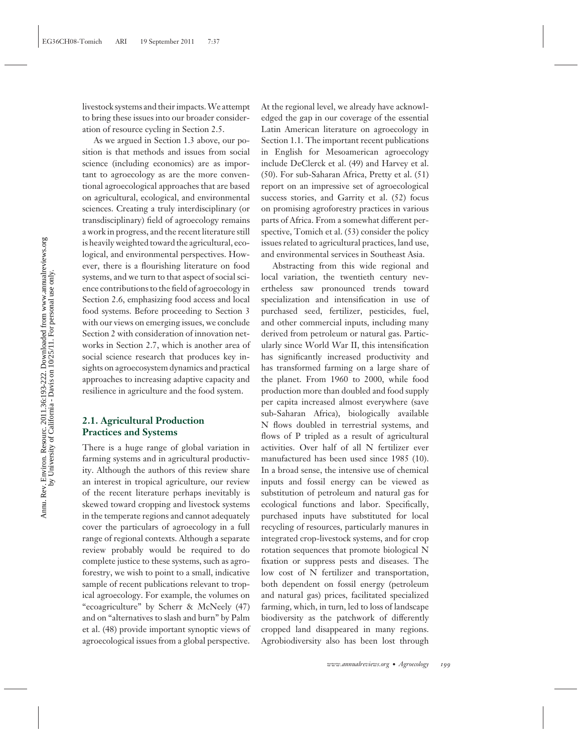livestock systems and their impacts.We attempt to bring these issues into our broader consideration of resource cycling in Section 2.5.

As we argued in Section 1.3 above, our position is that methods and issues from social science (including economics) are as important to agroecology as are the more conventional agroecological approaches that are based on agricultural, ecological, and environmental sciences. Creating a truly interdisciplinary (or transdisciplinary) field of agroecology remains a work in progress, and the recent literature still is heavily weighted toward the agricultural, ecological, and environmental perspectives. However, there is a flourishing literature on food systems, and we turn to that aspect of social science contributions to the field of agroecology in Section 2.6, emphasizing food access and local food systems. Before proceeding to Section 3 with our views on emerging issues, we conclude Section 2 with consideration of innovation networks in Section 2.7, which is another area of social science research that produces key insights on agroecosystem dynamics and practical approaches to increasing adaptive capacity and resilience in agriculture and the food system.

# **2.1. Agricultural Production Practices and Systems**

There is a huge range of global variation in farming systems and in agricultural productivity. Although the authors of this review share an interest in tropical agriculture, our review of the recent literature perhaps inevitably is skewed toward cropping and livestock systems in the temperate regions and cannot adequately cover the particulars of agroecology in a full range of regional contexts. Although a separate review probably would be required to do complete justice to these systems, such as agroforestry, we wish to point to a small, indicative sample of recent publications relevant to tropical agroecology. For example, the volumes on "ecoagriculture" by Scherr & McNeely (47) and on "alternatives to slash and burn" by Palm et al. (48) provide important synoptic views of agroecological issues from a global perspective.

At the regional level, we already have acknowledged the gap in our coverage of the essential Latin American literature on agroecology in Section 1.1. The important recent publications in English for Mesoamerican agroecology include DeClerck et al. (49) and Harvey et al. (50). For sub-Saharan Africa, Pretty et al. (51) report on an impressive set of agroecological success stories, and Garrity et al. (52) focus on promising agroforestry practices in various parts of Africa. From a somewhat different perspective, Tomich et al. (53) consider the policy issues related to agricultural practices, land use, and environmental services in Southeast Asia.

Abstracting from this wide regional and local variation, the twentieth century nevertheless saw pronounced trends toward specialization and intensification in use of purchased seed, fertilizer, pesticides, fuel, and other commercial inputs, including many derived from petroleum or natural gas. Particularly since World War II, this intensification has significantly increased productivity and has transformed farming on a large share of the planet. From 1960 to 2000, while food production more than doubled and food supply per capita increased almost everywhere (save sub-Saharan Africa), biologically available N flows doubled in terrestrial systems, and flows of P tripled as a result of agricultural activities. Over half of all N fertilizer ever manufactured has been used since 1985 (10). In a broad sense, the intensive use of chemical inputs and fossil energy can be viewed as substitution of petroleum and natural gas for ecological functions and labor. Specifically, purchased inputs have substituted for local recycling of resources, particularly manures in integrated crop-livestock systems, and for crop rotation sequences that promote biological N fixation or suppress pests and diseases. The low cost of N fertilizer and transportation, both dependent on fossil energy (petroleum and natural gas) prices, facilitated specialized farming, which, in turn, led to loss of landscape biodiversity as the patchwork of differently cropped land disappeared in many regions. Agrobiodiversity also has been lost through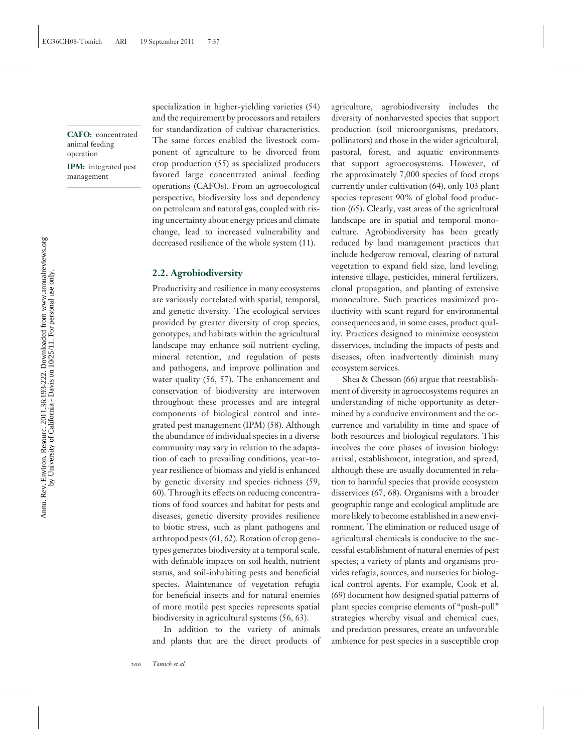**CAFO:** concentrated animal feeding operation

**IPM:** integrated pest management

specialization in higher-yielding varieties (54) and the requirement by processors and retailers for standardization of cultivar characteristics. The same forces enabled the livestock component of agriculture to be divorced from crop production (55) as specialized producers favored large concentrated animal feeding operations (CAFOs). From an agroecological perspective, biodiversity loss and dependency on petroleum and natural gas, coupled with rising uncertainty about energy prices and climate change, lead to increased vulnerability and decreased resilience of the whole system (11).

### **2.2. Agrobiodiversity**

Productivity and resilience in many ecosystems are variously correlated with spatial, temporal, and genetic diversity. The ecological services provided by greater diversity of crop species, genotypes, and habitats within the agricultural landscape may enhance soil nutrient cycling, mineral retention, and regulation of pests and pathogens, and improve pollination and water quality (56, 57). The enhancement and conservation of biodiversity are interwoven throughout these processes and are integral components of biological control and integrated pest management (IPM) (58). Although the abundance of individual species in a diverse community may vary in relation to the adaptation of each to prevailing conditions, year-toyear resilience of biomass and yield is enhanced by genetic diversity and species richness (59, 60). Through its effects on reducing concentrations of food sources and habitat for pests and diseases, genetic diversity provides resilience to biotic stress, such as plant pathogens and arthropod pests (61, 62). Rotation of crop genotypes generates biodiversity at a temporal scale, with definable impacts on soil health, nutrient status, and soil-inhabiting pests and beneficial species. Maintenance of vegetation refugia for beneficial insects and for natural enemies of more motile pest species represents spatial biodiversity in agricultural systems (56, 63).

In addition to the variety of animals and plants that are the direct products of agriculture, agrobiodiversity includes the diversity of nonharvested species that support production (soil microorganisms, predators, pollinators) and those in the wider agricultural, pastoral, forest, and aquatic environments that support agroecosystems. However, of the approximately 7,000 species of food crops currently under cultivation (64), only 103 plant species represent 90% of global food production (65). Clearly, vast areas of the agricultural landscape are in spatial and temporal monoculture. Agrobiodiversity has been greatly reduced by land management practices that include hedgerow removal, clearing of natural vegetation to expand field size, land leveling, intensive tillage, pesticides, mineral fertilizers, clonal propagation, and planting of extensive monoculture. Such practices maximized productivity with scant regard for environmental consequences and, in some cases, product quality. Practices designed to minimize ecosystem disservices, including the impacts of pests and diseases, often inadvertently diminish many ecosystem services.

Shea & Chesson (66) argue that reestablishment of diversity in agroecosystems requires an understanding of niche opportunity as determined by a conducive environment and the occurrence and variability in time and space of both resources and biological regulators. This involves the core phases of invasion biology: arrival, establishment, integration, and spread, although these are usually documented in relation to harmful species that provide ecosystem disservices (67, 68). Organisms with a broader geographic range and ecological amplitude are more likely to become established in a new environment. The elimination or reduced usage of agricultural chemicals is conducive to the successful establishment of natural enemies of pest species; a variety of plants and organisms provides refugia, sources, and nurseries for biological control agents. For example, Cook et al. (69) document how designed spatial patterns of plant species comprise elements of "push-pull" strategies whereby visual and chemical cues, and predation pressures, create an unfavorable ambience for pest species in a susceptible crop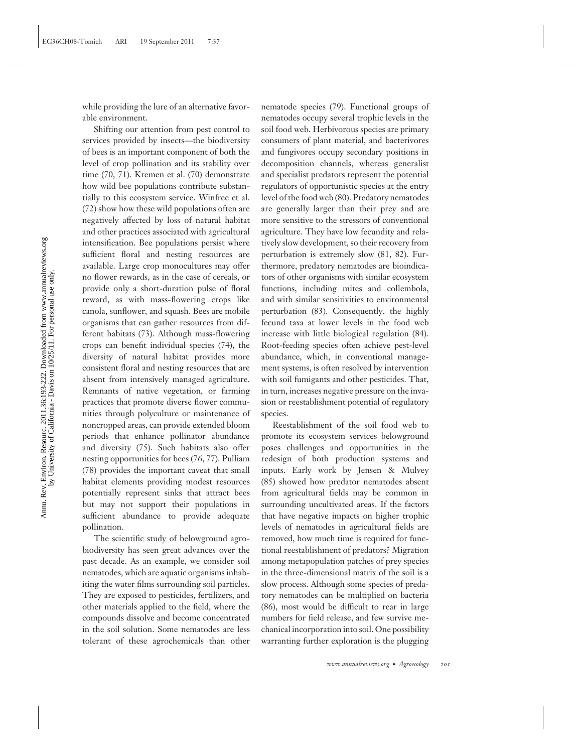while providing the lure of an alternative favorable environment.

Shifting our attention from pest control to services provided by insects—the biodiversity of bees is an important component of both the level of crop pollination and its stability over time (70, 71). Kremen et al. (70) demonstrate how wild bee populations contribute substantially to this ecosystem service. Winfree et al. (72) show how these wild populations often are negatively affected by loss of natural habitat and other practices associated with agricultural intensification. Bee populations persist where sufficient floral and nesting resources are available. Large crop monocultures may offer no flower rewards, as in the case of cereals, or provide only a short-duration pulse of floral reward, as with mass-flowering crops like canola, sunflower, and squash. Bees are mobile organisms that can gather resources from different habitats (73). Although mass-flowering crops can benefit individual species (74), the diversity of natural habitat provides more consistent floral and nesting resources that are absent from intensively managed agriculture. Remnants of native vegetation, or farming practices that promote diverse flower communities through polyculture or maintenance of noncropped areas, can provide extended bloom periods that enhance pollinator abundance and diversity (75). Such habitats also offer nesting opportunities for bees (76, 77). Pulliam (78) provides the important caveat that small habitat elements providing modest resources potentially represent sinks that attract bees but may not support their populations in sufficient abundance to provide adequate pollination.

The scientific study of belowground agrobiodiversity has seen great advances over the past decade. As an example, we consider soil nematodes, which are aquatic organisms inhabiting the water films surrounding soil particles. They are exposed to pesticides, fertilizers, and other materials applied to the field, where the compounds dissolve and become concentrated in the soil solution. Some nematodes are less tolerant of these agrochemicals than other

nematode species (79). Functional groups of nematodes occupy several trophic levels in the soil food web. Herbivorous species are primary consumers of plant material, and bacterivores and fungivores occupy secondary positions in decomposition channels, whereas generalist and specialist predators represent the potential regulators of opportunistic species at the entry level of the food web (80). Predatory nematodes are generally larger than their prey and are more sensitive to the stressors of conventional agriculture. They have low fecundity and relatively slow development, so their recovery from perturbation is extremely slow (81, 82). Furthermore, predatory nematodes are bioindicators of other organisms with similar ecosystem functions, including mites and collembola, and with similar sensitivities to environmental perturbation (83). Consequently, the highly fecund taxa at lower levels in the food web increase with little biological regulation (84). Root-feeding species often achieve pest-level abundance, which, in conventional management systems, is often resolved by intervention with soil fumigants and other pesticides. That, in turn, increases negative pressure on the invasion or reestablishment potential of regulatory species.

Reestablishment of the soil food web to promote its ecosystem services belowground poses challenges and opportunities in the redesign of both production systems and inputs. Early work by Jensen & Mulvey (85) showed how predator nematodes absent from agricultural fields may be common in surrounding uncultivated areas. If the factors that have negative impacts on higher trophic levels of nematodes in agricultural fields are removed, how much time is required for functional reestablishment of predators? Migration among metapopulation patches of prey species in the three-dimensional matrix of the soil is a slow process. Although some species of predatory nematodes can be multiplied on bacteria (86), most would be difficult to rear in large numbers for field release, and few survive mechanical incorporation into soil. One possibility warranting further exploration is the plugging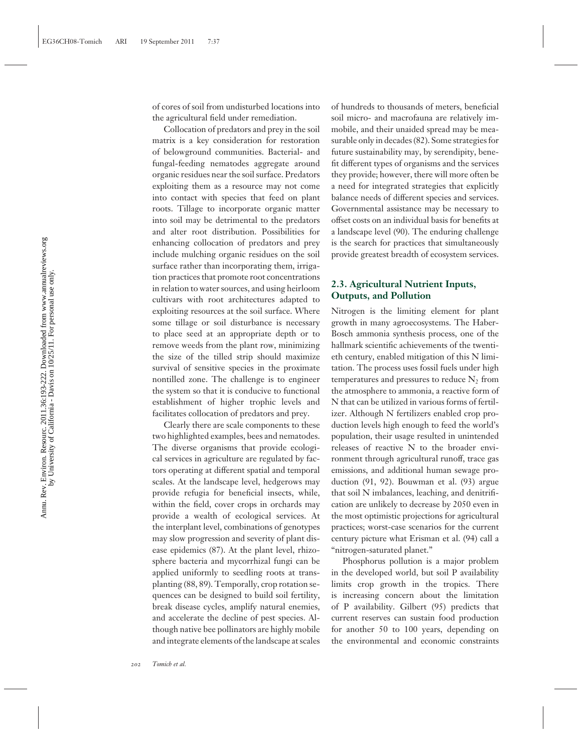of cores of soil from undisturbed locations into the agricultural field under remediation.

Collocation of predators and prey in the soil matrix is a key consideration for restoration of belowground communities. Bacterial- and fungal-feeding nematodes aggregate around organic residues near the soil surface. Predators exploiting them as a resource may not come into contact with species that feed on plant roots. Tillage to incorporate organic matter into soil may be detrimental to the predators and alter root distribution. Possibilities for enhancing collocation of predators and prey include mulching organic residues on the soil surface rather than incorporating them, irrigation practices that promote root concentrations in relation to water sources, and using heirloom cultivars with root architectures adapted to exploiting resources at the soil surface. Where some tillage or soil disturbance is necessary to place seed at an appropriate depth or to remove weeds from the plant row, minimizing the size of the tilled strip should maximize survival of sensitive species in the proximate nontilled zone. The challenge is to engineer the system so that it is conducive to functional establishment of higher trophic levels and facilitates collocation of predators and prey.

Clearly there are scale components to these two highlighted examples, bees and nematodes. The diverse organisms that provide ecological services in agriculture are regulated by factors operating at different spatial and temporal scales. At the landscape level, hedgerows may provide refugia for beneficial insects, while, within the field, cover crops in orchards may provide a wealth of ecological services. At the interplant level, combinations of genotypes may slow progression and severity of plant disease epidemics (87). At the plant level, rhizosphere bacteria and mycorrhizal fungi can be applied uniformly to seedling roots at transplanting (88, 89). Temporally, crop rotation sequences can be designed to build soil fertility, break disease cycles, amplify natural enemies, and accelerate the decline of pest species. Although native bee pollinators are highly mobile and integrate elements of the landscape at scales of hundreds to thousands of meters, beneficial soil micro- and macrofauna are relatively immobile, and their unaided spread may be measurable only in decades (82). Some strategies for future sustainability may, by serendipity, benefit different types of organisms and the services they provide; however, there will more often be a need for integrated strategies that explicitly balance needs of different species and services. Governmental assistance may be necessary to offset costs on an individual basis for benefits at a landscape level (90). The enduring challenge is the search for practices that simultaneously provide greatest breadth of ecosystem services.

# **2.3. Agricultural Nutrient Inputs, Outputs, and Pollution**

Nitrogen is the limiting element for plant growth in many agroecosystems. The Haber-Bosch ammonia synthesis process, one of the hallmark scientific achievements of the twentieth century, enabled mitigation of this N limitation. The process uses fossil fuels under high temperatures and pressures to reduce  $N_2$  from the atmosphere to ammonia, a reactive form of N that can be utilized in various forms of fertilizer. Although N fertilizers enabled crop production levels high enough to feed the world's population, their usage resulted in unintended releases of reactive N to the broader environment through agricultural runoff, trace gas emissions, and additional human sewage production (91, 92). Bouwman et al. (93) argue that soil N imbalances, leaching, and denitrification are unlikely to decrease by 2050 even in the most optimistic projections for agricultural practices; worst-case scenarios for the current century picture what Erisman et al. (94) call a "nitrogen-saturated planet."

Phosphorus pollution is a major problem in the developed world, but soil P availability limits crop growth in the tropics. There is increasing concern about the limitation of P availability. Gilbert (95) predicts that current reserves can sustain food production for another 50 to 100 years, depending on the environmental and economic constraints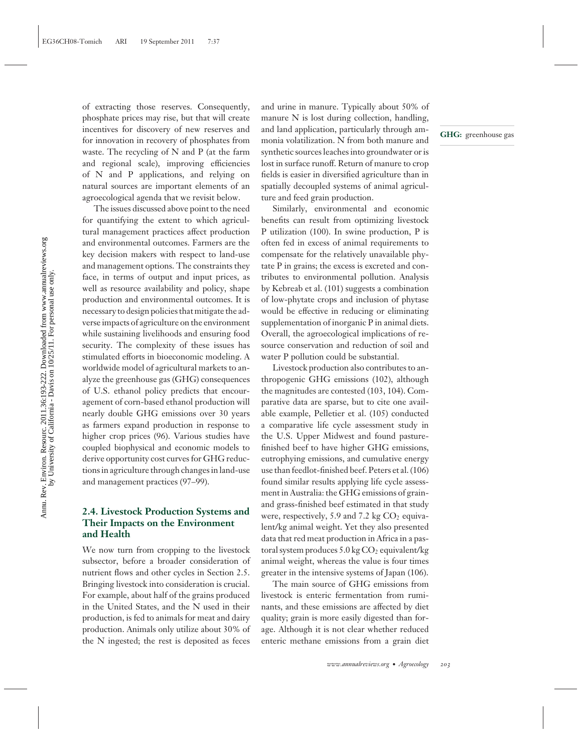of extracting those reserves. Consequently, phosphate prices may rise, but that will create incentives for discovery of new reserves and for innovation in recovery of phosphates from waste. The recycling of N and P (at the farm and regional scale), improving efficiencies of N and P applications, and relying on natural sources are important elements of an agroecological agenda that we revisit below.

The issues discussed above point to the need for quantifying the extent to which agricultural management practices affect production and environmental outcomes. Farmers are the key decision makers with respect to land-use and management options. The constraints they face, in terms of output and input prices, as well as resource availability and policy, shape production and environmental outcomes. It is necessary to design policies that mitigate the adverse impacts of agriculture on the environment while sustaining livelihoods and ensuring food security. The complexity of these issues has stimulated efforts in bioeconomic modeling. A worldwide model of agricultural markets to analyze the greenhouse gas (GHG) consequences of U.S. ethanol policy predicts that encouragement of corn-based ethanol production will nearly double GHG emissions over 30 years as farmers expand production in response to higher crop prices (96). Various studies have coupled biophysical and economic models to derive opportunity cost curves for GHG reductions in agriculture through changes in land-use and management practices (97–99).

# **2.4. Livestock Production Systems and Their Impacts on the Environment and Health**

We now turn from cropping to the livestock subsector, before a broader consideration of nutrient flows and other cycles in Section 2.5. Bringing livestock into consideration is crucial. For example, about half of the grains produced in the United States, and the N used in their production, is fed to animals for meat and dairy production. Animals only utilize about 30% of the N ingested; the rest is deposited as feces and urine in manure. Typically about 50% of manure N is lost during collection, handling, and land application, particularly through ammonia volatilization. N from both manure and synthetic sources leaches into groundwater or is lost in surface runoff. Return of manure to crop fields is easier in diversified agriculture than in spatially decoupled systems of animal agriculture and feed grain production.

Similarly, environmental and economic benefits can result from optimizing livestock P utilization (100). In swine production, P is often fed in excess of animal requirements to compensate for the relatively unavailable phytate P in grains; the excess is excreted and contributes to environmental pollution. Analysis by Kebreab et al. (101) suggests a combination of low-phytate crops and inclusion of phytase would be effective in reducing or eliminating supplementation of inorganic P in animal diets. Overall, the agroecological implications of resource conservation and reduction of soil and water P pollution could be substantial.

Livestock production also contributes to anthropogenic GHG emissions (102), although the magnitudes are contested (103, 104). Comparative data are sparse, but to cite one available example, Pelletier et al. (105) conducted a comparative life cycle assessment study in the U.S. Upper Midwest and found pasturefinished beef to have higher GHG emissions, eutrophying emissions, and cumulative energy use than feedlot-finished beef. Peters et al. (106) found similar results applying life cycle assessment in Australia: the GHG emissions of grainand grass-finished beef estimated in that study were, respectively, 5.9 and 7.2 kg  $CO<sub>2</sub>$  equivalent/kg animal weight. Yet they also presented data that red meat production in Africa in a pastoral system produces  $5.0 \text{ kg CO}_2$  equivalent/kg animal weight, whereas the value is four times greater in the intensive systems of Japan (106).

The main source of GHG emissions from livestock is enteric fermentation from ruminants, and these emissions are affected by diet quality; grain is more easily digested than forage. Although it is not clear whether reduced enteric methane emissions from a grain diet

#### *www.annualreviews.org* • *Agroecology 203*

### **GHG:** greenhouse gas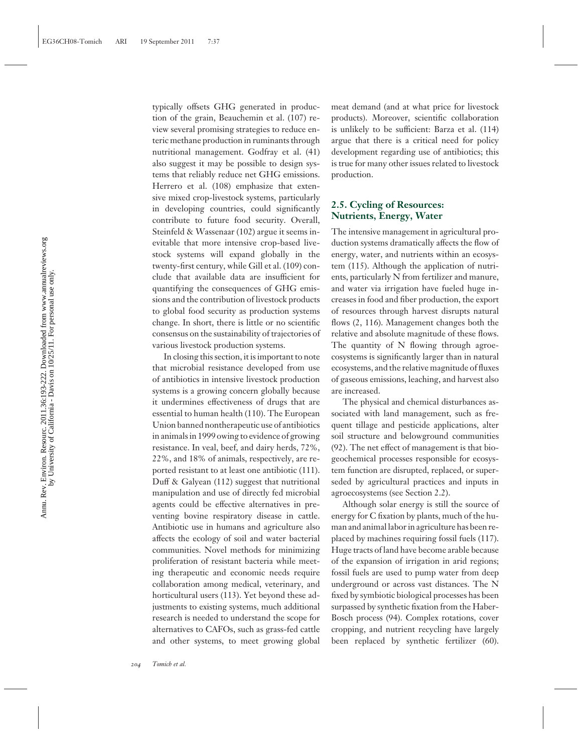typically offsets GHG generated in production of the grain, Beauchemin et al. (107) review several promising strategies to reduce enteric methane production in ruminants through nutritional management. Godfray et al. (41) also suggest it may be possible to design systems that reliably reduce net GHG emissions. Herrero et al. (108) emphasize that extensive mixed crop-livestock systems, particularly in developing countries, could significantly contribute to future food security. Overall, Steinfeld & Wassenaar (102) argue it seems inevitable that more intensive crop-based livestock systems will expand globally in the twenty-first century, while Gill et al. (109) conclude that available data are insufficient for quantifying the consequences of GHG emissions and the contribution of livestock products to global food security as production systems change. In short, there is little or no scientific consensus on the sustainability of trajectories of various livestock production systems.

In closing this section, it is important to note that microbial resistance developed from use of antibiotics in intensive livestock production systems is a growing concern globally because it undermines effectiveness of drugs that are essential to human health (110). The European Union banned nontherapeutic use of antibiotics in animals in 1999 owing to evidence of growing resistance. In veal, beef, and dairy herds, 72%, 22%, and 18% of animals, respectively, are reported resistant to at least one antibiotic (111). Duff & Galyean (112) suggest that nutritional manipulation and use of directly fed microbial agents could be effective alternatives in preventing bovine respiratory disease in cattle. Antibiotic use in humans and agriculture also affects the ecology of soil and water bacterial communities. Novel methods for minimizing proliferation of resistant bacteria while meeting therapeutic and economic needs require collaboration among medical, veterinary, and horticultural users (113). Yet beyond these adjustments to existing systems, much additional research is needed to understand the scope for alternatives to CAFOs, such as grass-fed cattle and other systems, to meet growing global

meat demand (and at what price for livestock products). Moreover, scientific collaboration is unlikely to be sufficient: Barza et al. (114) argue that there is a critical need for policy development regarding use of antibiotics; this is true for many other issues related to livestock production.

# **2.5. Cycling of Resources: Nutrients, Energy, Water**

The intensive management in agricultural production systems dramatically affects the flow of energy, water, and nutrients within an ecosystem (115). Although the application of nutrients, particularly N from fertilizer and manure, and water via irrigation have fueled huge increases in food and fiber production, the export of resources through harvest disrupts natural flows (2, 116). Management changes both the relative and absolute magnitude of these flows. The quantity of N flowing through agroecosystems is significantly larger than in natural ecosystems, and the relative magnitude of fluxes of gaseous emissions, leaching, and harvest also are increased.

The physical and chemical disturbances associated with land management, such as frequent tillage and pesticide applications, alter soil structure and belowground communities (92). The net effect of management is that biogeochemical processes responsible for ecosystem function are disrupted, replaced, or superseded by agricultural practices and inputs in agroecosystems (see Section 2.2).

Although solar energy is still the source of energy for C fixation by plants, much of the human and animal labor in agriculture has been replaced by machines requiring fossil fuels (117). Huge tracts of land have become arable because of the expansion of irrigation in arid regions; fossil fuels are used to pump water from deep underground or across vast distances. The N fixed by symbiotic biological processes has been surpassed by synthetic fixation from the Haber-Bosch process (94). Complex rotations, cover cropping, and nutrient recycling have largely been replaced by synthetic fertilizer (60).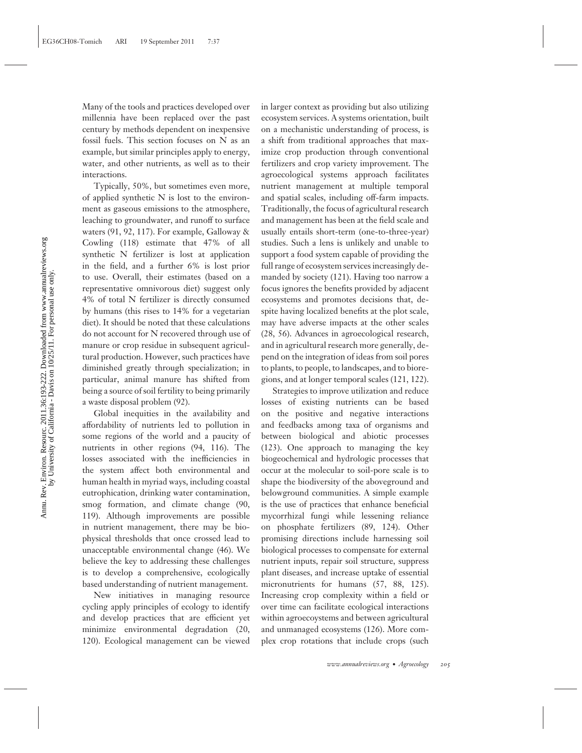Many of the tools and practices developed over millennia have been replaced over the past century by methods dependent on inexpensive fossil fuels. This section focuses on N as an example, but similar principles apply to energy, water, and other nutrients, as well as to their interactions.

Typically, 50%, but sometimes even more, of applied synthetic  $N$  is lost to the environment as gaseous emissions to the atmosphere, leaching to groundwater, and runoff to surface waters (91, 92, 117). For example, Galloway & Cowling (118) estimate that 47% of all synthetic N fertilizer is lost at application in the field, and a further 6% is lost prior to use. Overall, their estimates (based on a representative omnivorous diet) suggest only 4% of total N fertilizer is directly consumed by humans (this rises to 14% for a vegetarian diet). It should be noted that these calculations do not account for N recovered through use of manure or crop residue in subsequent agricultural production. However, such practices have diminished greatly through specialization; in particular, animal manure has shifted from being a source of soil fertility to being primarily a waste disposal problem (92).

Global inequities in the availability and affordability of nutrients led to pollution in some regions of the world and a paucity of nutrients in other regions (94, 116). The losses associated with the inefficiencies in the system affect both environmental and human health in myriad ways, including coastal eutrophication, drinking water contamination, smog formation, and climate change (90, 119). Although improvements are possible in nutrient management, there may be biophysical thresholds that once crossed lead to unacceptable environmental change (46). We believe the key to addressing these challenges is to develop a comprehensive, ecologically based understanding of nutrient management.

New initiatives in managing resource cycling apply principles of ecology to identify and develop practices that are efficient yet minimize environmental degradation (20, 120). Ecological management can be viewed

in larger context as providing but also utilizing ecosystem services. A systems orientation, built on a mechanistic understanding of process, is a shift from traditional approaches that maximize crop production through conventional fertilizers and crop variety improvement. The agroecological systems approach facilitates nutrient management at multiple temporal and spatial scales, including off-farm impacts. Traditionally, the focus of agricultural research and management has been at the field scale and usually entails short-term (one-to-three-year) studies. Such a lens is unlikely and unable to support a food system capable of providing the full range of ecosystem services increasingly demanded by society (121). Having too narrow a focus ignores the benefits provided by adjacent ecosystems and promotes decisions that, despite having localized benefits at the plot scale, may have adverse impacts at the other scales (28, 56). Advances in agroecological research, and in agricultural research more generally, depend on the integration of ideas from soil pores to plants, to people, to landscapes, and to bioregions, and at longer temporal scales (121, 122).

Strategies to improve utilization and reduce losses of existing nutrients can be based on the positive and negative interactions and feedbacks among taxa of organisms and between biological and abiotic processes (123). One approach to managing the key biogeochemical and hydrologic processes that occur at the molecular to soil-pore scale is to shape the biodiversity of the aboveground and belowground communities. A simple example is the use of practices that enhance beneficial mycorrhizal fungi while lessening reliance on phosphate fertilizers (89, 124). Other promising directions include harnessing soil biological processes to compensate for external nutrient inputs, repair soil structure, suppress plant diseases, and increase uptake of essential micronutrients for humans (57, 88, 125). Increasing crop complexity within a field or over time can facilitate ecological interactions within agroecoystems and between agricultural and unmanaged ecosystems (126). More complex crop rotations that include crops (such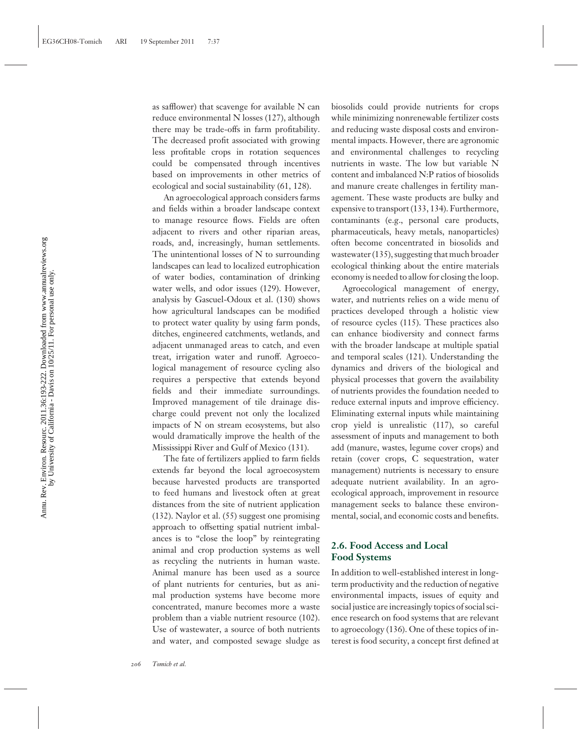as safflower) that scavenge for available N can reduce environmental N losses (127), although there may be trade-offs in farm profitability. The decreased profit associated with growing less profitable crops in rotation sequences could be compensated through incentives based on improvements in other metrics of ecological and social sustainability (61, 128).

An agroecological approach considers farms and fields within a broader landscape context to manage resource flows. Fields are often adjacent to rivers and other riparian areas, roads, and, increasingly, human settlements. The unintentional losses of N to surrounding landscapes can lead to localized eutrophication of water bodies, contamination of drinking water wells, and odor issues (129). However, analysis by Gascuel-Odoux et al. (130) shows how agricultural landscapes can be modified to protect water quality by using farm ponds, ditches, engineered catchments, wetlands, and adjacent unmanaged areas to catch, and even treat, irrigation water and runoff. Agroecological management of resource cycling also requires a perspective that extends beyond fields and their immediate surroundings. Improved management of tile drainage discharge could prevent not only the localized impacts of N on stream ecosystems, but also would dramatically improve the health of the Mississippi River and Gulf of Mexico (131).

The fate of fertilizers applied to farm fields extends far beyond the local agroecosystem because harvested products are transported to feed humans and livestock often at great distances from the site of nutrient application (132). Naylor et al. (55) suggest one promising approach to offsetting spatial nutrient imbalances is to "close the loop" by reintegrating animal and crop production systems as well as recycling the nutrients in human waste. Animal manure has been used as a source of plant nutrients for centuries, but as animal production systems have become more concentrated, manure becomes more a waste problem than a viable nutrient resource (102). Use of wastewater, a source of both nutrients and water, and composted sewage sludge as biosolids could provide nutrients for crops while minimizing nonrenewable fertilizer costs and reducing waste disposal costs and environmental impacts. However, there are agronomic and environmental challenges to recycling nutrients in waste. The low but variable N content and imbalanced N:P ratios of biosolids and manure create challenges in fertility management. These waste products are bulky and expensive to transport (133, 134). Furthermore, contaminants (e.g., personal care products, pharmaceuticals, heavy metals, nanoparticles) often become concentrated in biosolids and wastewater (135), suggesting that much broader ecological thinking about the entire materials economy is needed to allow for closing the loop.

Agroecological management of energy, water, and nutrients relies on a wide menu of practices developed through a holistic view of resource cycles (115). These practices also can enhance biodiversity and connect farms with the broader landscape at multiple spatial and temporal scales (121). Understanding the dynamics and drivers of the biological and physical processes that govern the availability of nutrients provides the foundation needed to reduce external inputs and improve efficiency. Eliminating external inputs while maintaining crop yield is unrealistic (117), so careful assessment of inputs and management to both add (manure, wastes, legume cover crops) and retain (cover crops, C sequestration, water management) nutrients is necessary to ensure adequate nutrient availability. In an agroecological approach, improvement in resource management seeks to balance these environmental, social, and economic costs and benefits.

# **2.6. Food Access and Local Food Systems**

In addition to well-established interest in longterm productivity and the reduction of negative environmental impacts, issues of equity and social justice are increasingly topics of social science research on food systems that are relevant to agroecology (136). One of these topics of interest is food security, a concept first defined at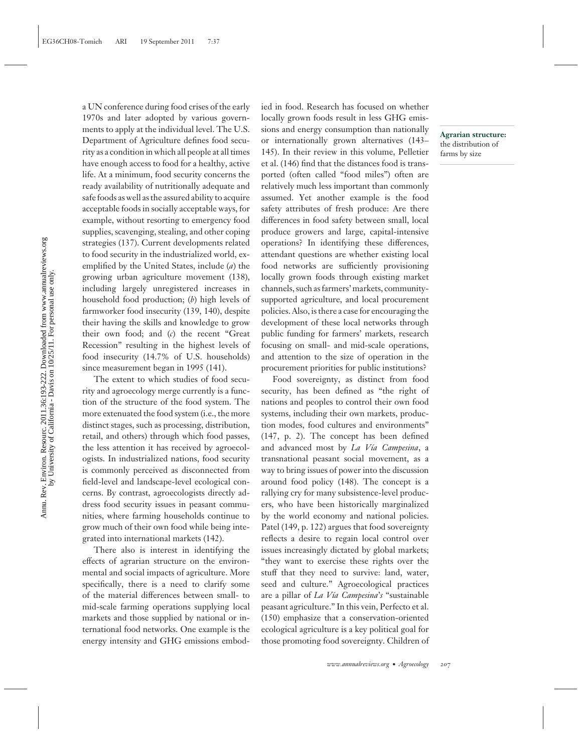a UN conference during food crises of the early 1970s and later adopted by various governments to apply at the individual level. The U.S. Department of Agriculture defines food security as a condition in which all people at all times have enough access to food for a healthy, active life. At a minimum, food security concerns the ready availability of nutritionally adequate and safe foods as well as the assured ability to acquire acceptable foods in socially acceptable ways, for example, without resorting to emergency food supplies, scavenging, stealing, and other coping strategies (137). Current developments related to food security in the industrialized world, exemplified by the United States, include (*a*) the growing urban agriculture movement (138), including largely unregistered increases in household food production; (*b*) high levels of farmworker food insecurity (139, 140), despite their having the skills and knowledge to grow their own food; and (*c*) the recent "Great Recession" resulting in the highest levels of food insecurity (14.7% of U.S. households) since measurement began in 1995 (141).

The extent to which studies of food security and agroecology merge currently is a function of the structure of the food system. The more extenuated the food system (i.e., the more distinct stages, such as processing, distribution, retail, and others) through which food passes, the less attention it has received by agroecologists. In industrialized nations, food security is commonly perceived as disconnected from field-level and landscape-level ecological concerns. By contrast, agroecologists directly address food security issues in peasant communities, where farming households continue to grow much of their own food while being integrated into international markets (142).

There also is interest in identifying the effects of agrarian structure on the environmental and social impacts of agriculture. More specifically, there is a need to clarify some of the material differences between small- to mid-scale farming operations supplying local markets and those supplied by national or international food networks. One example is the energy intensity and GHG emissions embodied in food. Research has focused on whether locally grown foods result in less GHG emissions and energy consumption than nationally or internationally grown alternatives (143– 145). In their review in this volume, Pelletier et al. (146) find that the distances food is transported (often called "food miles") often are relatively much less important than commonly assumed. Yet another example is the food safety attributes of fresh produce: Are there differences in food safety between small, local produce growers and large, capital-intensive operations? In identifying these differences, attendant questions are whether existing local food networks are sufficiently provisioning locally grown foods through existing market channels, such as farmers' markets, communitysupported agriculture, and local procurement policies. Also, is there a case for encouraging the development of these local networks through public funding for farmers' markets, research focusing on small- and mid-scale operations, and attention to the size of operation in the procurement priorities for public institutions?

Food sovereignty, as distinct from food security, has been defined as "the right of nations and peoples to control their own food systems, including their own markets, production modes, food cultures and environments" (147, p. 2). The concept has been defined and advanced most by *La V´ıa Campesina*, a transnational peasant social movement, as a way to bring issues of power into the discussion around food policy (148). The concept is a rallying cry for many subsistence-level producers, who have been historically marginalized by the world economy and national policies. Patel (149, p. 122) argues that food sovereignty reflects a desire to regain local control over issues increasingly dictated by global markets; "they want to exercise these rights over the stuff that they need to survive: land, water, seed and culture." Agroecological practices are a pillar of *La V´ıa Campesina*'*s* "sustainable peasant agriculture." In this vein, Perfecto et al. (150) emphasize that a conservation-oriented ecological agriculture is a key political goal for those promoting food sovereignty. Children of

**Agrarian structure:** the distribution of farms by size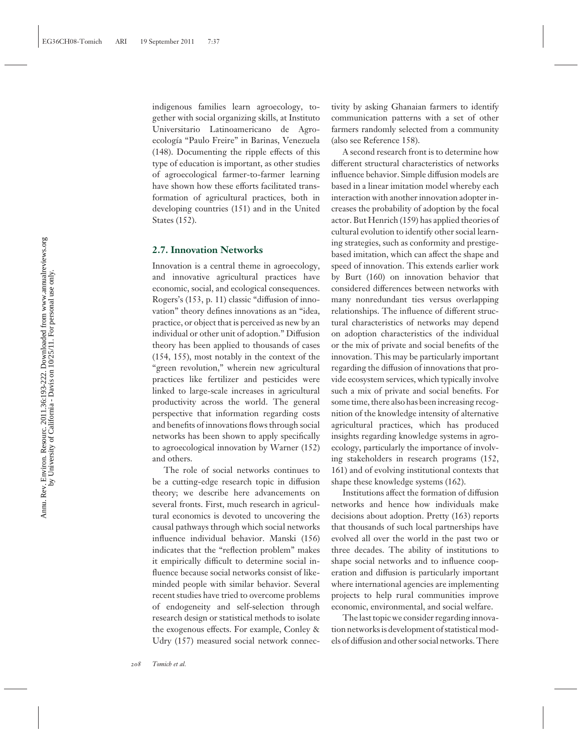indigenous families learn agroecology, together with social organizing skills, at Instituto Universitario Latinoamericano de Agroecología "Paulo Freire" in Barinas, Venezuela (148). Documenting the ripple effects of this type of education is important, as other studies of agroecological farmer-to-farmer learning have shown how these efforts facilitated transformation of agricultural practices, both in developing countries (151) and in the United States (152).

### **2.7. Innovation Networks**

Innovation is a central theme in agroecology, and innovative agricultural practices have economic, social, and ecological consequences. Rogers's (153, p. 11) classic "diffusion of innovation" theory defines innovations as an "idea, practice, or object that is perceived as new by an individual or other unit of adoption." Diffusion theory has been applied to thousands of cases (154, 155), most notably in the context of the "green revolution," wherein new agricultural practices like fertilizer and pesticides were linked to large-scale increases in agricultural productivity across the world. The general perspective that information regarding costs and benefits of innovations flows through social networks has been shown to apply specifically to agroecological innovation by Warner (152) and others.

The role of social networks continues to be a cutting-edge research topic in diffusion theory; we describe here advancements on several fronts. First, much research in agricultural economics is devoted to uncovering the causal pathways through which social networks influence individual behavior. Manski (156) indicates that the "reflection problem" makes it empirically difficult to determine social influence because social networks consist of likeminded people with similar behavior. Several recent studies have tried to overcome problems of endogeneity and self-selection through research design or statistical methods to isolate the exogenous effects. For example, Conley & Udry (157) measured social network connectivity by asking Ghanaian farmers to identify communication patterns with a set of other farmers randomly selected from a community (also see Reference 158).

A second research front is to determine how different structural characteristics of networks influence behavior. Simple diffusion models are based in a linear imitation model whereby each interaction with another innovation adopter increases the probability of adoption by the focal actor. But Henrich (159) has applied theories of cultural evolution to identify other social learning strategies, such as conformity and prestigebased imitation, which can affect the shape and speed of innovation. This extends earlier work by Burt (160) on innovation behavior that considered differences between networks with many nonredundant ties versus overlapping relationships. The influence of different structural characteristics of networks may depend on adoption characteristics of the individual or the mix of private and social benefits of the innovation. This may be particularly important regarding the diffusion of innovations that provide ecosystem services, which typically involve such a mix of private and social benefits. For some time, there also has been increasing recognition of the knowledge intensity of alternative agricultural practices, which has produced insights regarding knowledge systems in agroecology, particularly the importance of involving stakeholders in research programs (152, 161) and of evolving institutional contexts that shape these knowledge systems (162).

Institutions affect the formation of diffusion networks and hence how individuals make decisions about adoption. Pretty (163) reports that thousands of such local partnerships have evolved all over the world in the past two or three decades. The ability of institutions to shape social networks and to influence cooperation and diffusion is particularly important where international agencies are implementing projects to help rural communities improve economic, environmental, and social welfare.

The last topic we consider regarding innovation networks is development of statistical models of diffusion and other social networks. There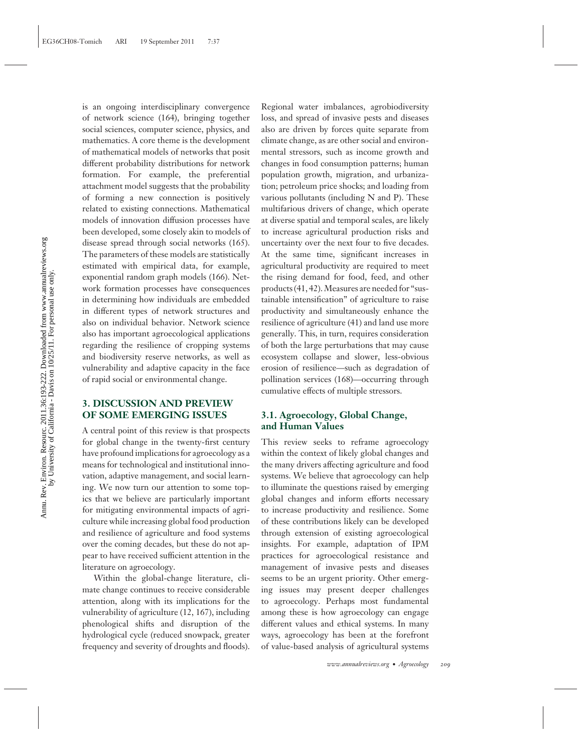is an ongoing interdisciplinary convergence of network science (164), bringing together social sciences, computer science, physics, and mathematics. A core theme is the development of mathematical models of networks that posit different probability distributions for network formation. For example, the preferential attachment model suggests that the probability of forming a new connection is positively related to existing connections. Mathematical models of innovation diffusion processes have been developed, some closely akin to models of disease spread through social networks (165). The parameters of these models are statistically estimated with empirical data, for example, exponential random graph models (166). Network formation processes have consequences in determining how individuals are embedded in different types of network structures and also on individual behavior. Network science also has important agroecological applications regarding the resilience of cropping systems and biodiversity reserve networks, as well as vulnerability and adaptive capacity in the face of rapid social or environmental change.

# **3. DISCUSSION AND PREVIEW OF SOME EMERGING ISSUES**

A central point of this review is that prospects for global change in the twenty-first century have profound implications for agroecology as a means for technological and institutional innovation, adaptive management, and social learning. We now turn our attention to some topics that we believe are particularly important for mitigating environmental impacts of agriculture while increasing global food production and resilience of agriculture and food systems over the coming decades, but these do not appear to have received sufficient attention in the literature on agroecology.

Within the global-change literature, climate change continues to receive considerable attention, along with its implications for the vulnerability of agriculture (12, 167), including phenological shifts and disruption of the hydrological cycle (reduced snowpack, greater frequency and severity of droughts and floods).

Regional water imbalances, agrobiodiversity loss, and spread of invasive pests and diseases also are driven by forces quite separate from climate change, as are other social and environmental stressors, such as income growth and changes in food consumption patterns; human population growth, migration, and urbanization; petroleum price shocks; and loading from various pollutants (including N and P). These multifarious drivers of change, which operate at diverse spatial and temporal scales, are likely to increase agricultural production risks and uncertainty over the next four to five decades. At the same time, significant increases in agricultural productivity are required to meet the rising demand for food, feed, and other products (41, 42).Measures are needed for "sustainable intensification" of agriculture to raise productivity and simultaneously enhance the resilience of agriculture (41) and land use more generally. This, in turn, requires consideration of both the large perturbations that may cause ecosystem collapse and slower, less-obvious erosion of resilience—such as degradation of pollination services (168)—occurring through cumulative effects of multiple stressors.

# **3.1. Agroecology, Global Change, and Human Values**

This review seeks to reframe agroecology within the context of likely global changes and the many drivers affecting agriculture and food systems. We believe that agroecology can help to illuminate the questions raised by emerging global changes and inform efforts necessary to increase productivity and resilience. Some of these contributions likely can be developed through extension of existing agroecological insights. For example, adaptation of IPM practices for agroecological resistance and management of invasive pests and diseases seems to be an urgent priority. Other emerging issues may present deeper challenges to agroecology. Perhaps most fundamental among these is how agroecology can engage different values and ethical systems. In many ways, agroecology has been at the forefront of value-based analysis of agricultural systems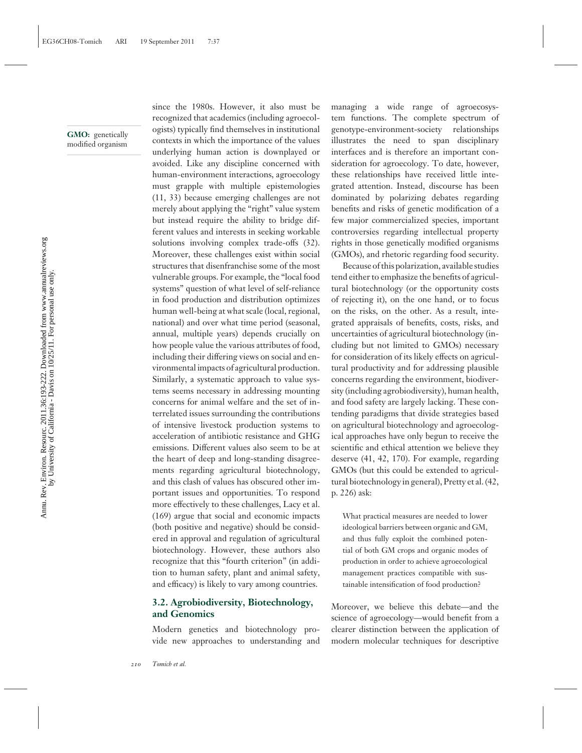**GMO:** genetically modified organism

since the 1980s. However, it also must be recognized that academics (including agroecologists) typically find themselves in institutional contexts in which the importance of the values underlying human action is downplayed or avoided. Like any discipline concerned with human-environment interactions, agroecology must grapple with multiple epistemologies (11, 33) because emerging challenges are not merely about applying the "right" value system but instead require the ability to bridge different values and interests in seeking workable solutions involving complex trade-offs (32). Moreover, these challenges exist within social structures that disenfranchise some of the most vulnerable groups. For example, the "local food systems" question of what level of self-reliance in food production and distribution optimizes human well-being at what scale (local, regional, national) and over what time period (seasonal, annual, multiple years) depends crucially on how people value the various attributes of food, including their differing views on social and environmental impacts of agricultural production. Similarly, a systematic approach to value systems seems necessary in addressing mounting concerns for animal welfare and the set of interrelated issues surrounding the contributions of intensive livestock production systems to acceleration of antibiotic resistance and GHG emissions. Different values also seem to be at the heart of deep and long-standing disagreements regarding agricultural biotechnology, and this clash of values has obscured other important issues and opportunities. To respond more effectively to these challenges, Lacy et al. (169) argue that social and economic impacts (both positive and negative) should be considered in approval and regulation of agricultural biotechnology. However, these authors also recognize that this "fourth criterion" (in addition to human safety, plant and animal safety, and efficacy) is likely to vary among countries.

### **3.2. Agrobiodiversity, Biotechnology, and Genomics**

Modern genetics and biotechnology provide new approaches to understanding and managing a wide range of agroecosystem functions. The complete spectrum of genotype-environment-society relationships illustrates the need to span disciplinary interfaces and is therefore an important consideration for agroecology. To date, however, these relationships have received little integrated attention. Instead, discourse has been dominated by polarizing debates regarding benefits and risks of genetic modification of a few major commercialized species, important controversies regarding intellectual property rights in those genetically modified organisms (GMOs), and rhetoric regarding food security.

Because of this polarization, available studies tend either to emphasize the benefits of agricultural biotechnology (or the opportunity costs of rejecting it), on the one hand, or to focus on the risks, on the other. As a result, integrated appraisals of benefits, costs, risks, and uncertainties of agricultural biotechnology (including but not limited to GMOs) necessary for consideration of its likely effects on agricultural productivity and for addressing plausible concerns regarding the environment, biodiversity (including agrobiodiversity), human health, and food safety are largely lacking. These contending paradigms that divide strategies based on agricultural biotechnology and agroecological approaches have only begun to receive the scientific and ethical attention we believe they deserve (41, 42, 170). For example, regarding GMOs (but this could be extended to agricultural biotechnology in general), Pretty et al. (42, p. 226) ask:

What practical measures are needed to lower ideological barriers between organic and GM, and thus fully exploit the combined potential of both GM crops and organic modes of production in order to achieve agroecological management practices compatible with sustainable intensification of food production?

Moreover, we believe this debate—and the science of agroecology—would benefit from a clearer distinction between the application of modern molecular techniques for descriptive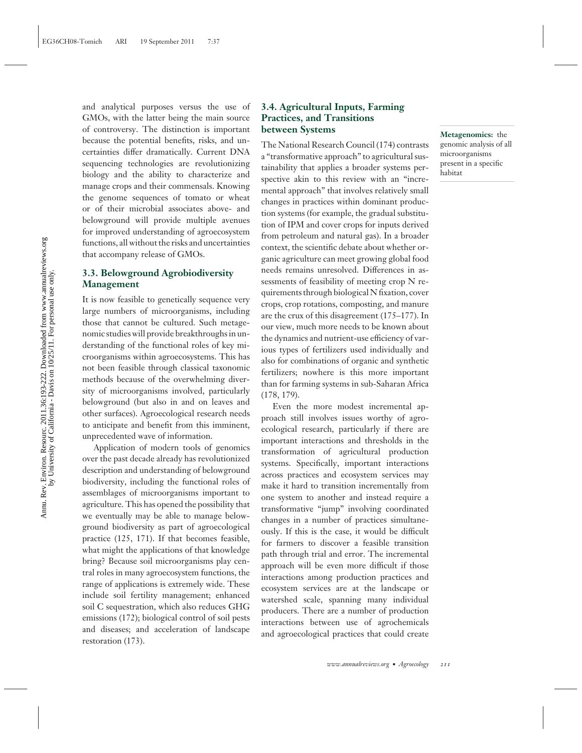Annu.

and analytical purposes versus the use of GMOs, with the latter being the main source of controversy. The distinction is important because the potential benefits, risks, and uncertainties differ dramatically. Current DNA sequencing technologies are revolutionizing biology and the ability to characterize and manage crops and their commensals. Knowing the genome sequences of tomato or wheat or of their microbial associates above- and belowground will provide multiple avenues for improved understanding of agroecosystem functions, all without the risks and uncertainties that accompany release of GMOs.

# **3.3. Belowground Agrobiodiversity Management**

It is now feasible to genetically sequence very large numbers of microorganisms, including those that cannot be cultured. Such metagenomic studies will provide breakthroughs in understanding of the functional roles of key microorganisms within agroecosystems. This has not been feasible through classical taxonomic methods because of the overwhelming diversity of microorganisms involved, particularly belowground (but also in and on leaves and other surfaces). Agroecological research needs to anticipate and benefit from this imminent, unprecedented wave of information.

Application of modern tools of genomics over the past decade already has revolutionized description and understanding of belowground biodiversity, including the functional roles of assemblages of microorganisms important to agriculture. This has opened the possibility that we eventually may be able to manage belowground biodiversity as part of agroecological practice (125, 171). If that becomes feasible, what might the applications of that knowledge bring? Because soil microorganisms play central roles in many agroecosystem functions, the range of applications is extremely wide. These include soil fertility management; enhanced soil C sequestration, which also reduces GHG emissions (172); biological control of soil pests and diseases; and acceleration of landscape restoration (173).

# **3.4. Agricultural Inputs, Farming Practices, and Transitions between Systems**

The National Research Council (174) contrasts a "transformative approach" to agricultural sustainability that applies a broader systems perspective akin to this review with an "incremental approach" that involves relatively small changes in practices within dominant production systems (for example, the gradual substitution of IPM and cover crops for inputs derived from petroleum and natural gas). In a broader context, the scientific debate about whether organic agriculture can meet growing global food needs remains unresolved. Differences in assessments of feasibility of meeting crop N requirements through biological N fixation, cover crops, crop rotations, composting, and manure are the crux of this disagreement (175–177). In our view, much more needs to be known about the dynamics and nutrient-use efficiency of various types of fertilizers used individually and also for combinations of organic and synthetic fertilizers; nowhere is this more important than for farming systems in sub-Saharan Africa (178, 179).

Even the more modest incremental approach still involves issues worthy of agroecological research, particularly if there are important interactions and thresholds in the transformation of agricultural production systems. Specifically, important interactions across practices and ecosystem services may make it hard to transition incrementally from one system to another and instead require a transformative "jump" involving coordinated changes in a number of practices simultaneously. If this is the case, it would be difficult for farmers to discover a feasible transition path through trial and error. The incremental approach will be even more difficult if those interactions among production practices and ecosystem services are at the landscape or watershed scale, spanning many individual producers. There are a number of production interactions between use of agrochemicals and agroecological practices that could create **Metagenomics:** the genomic analysis of all microorganisms present in a specific habitat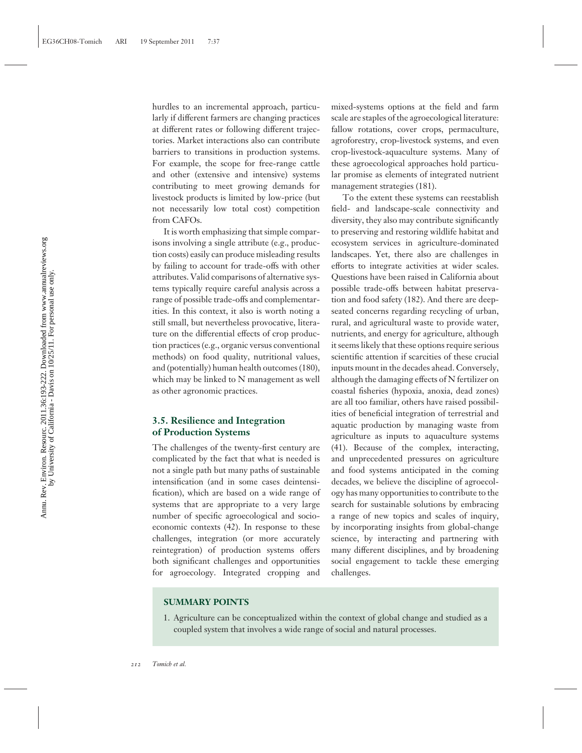hurdles to an incremental approach, particularly if different farmers are changing practices at different rates or following different trajectories. Market interactions also can contribute barriers to transitions in production systems. For example, the scope for free-range cattle and other (extensive and intensive) systems contributing to meet growing demands for livestock products is limited by low-price (but not necessarily low total cost) competition from CAFOs.

It is worth emphasizing that simple comparisons involving a single attribute (e.g., production costs) easily can produce misleading results by failing to account for trade-offs with other attributes. Valid comparisons of alternative systems typically require careful analysis across a range of possible trade-offs and complementarities. In this context, it also is worth noting a still small, but nevertheless provocative, literature on the differential effects of crop production practices (e.g., organic versus conventional methods) on food quality, nutritional values, and (potentially) human health outcomes (180), which may be linked to N management as well as other agronomic practices.

# **3.5. Resilience and Integration of Production Systems**

The challenges of the twenty-first century are complicated by the fact that what is needed is not a single path but many paths of sustainable intensification (and in some cases deintensification), which are based on a wide range of systems that are appropriate to a very large number of specific agroecological and socioeconomic contexts (42). In response to these challenges, integration (or more accurately reintegration) of production systems offers both significant challenges and opportunities for agroecology. Integrated cropping and mixed-systems options at the field and farm scale are staples of the agroecological literature: fallow rotations, cover crops, permaculture, agroforestry, crop-livestock systems, and even crop-livestock-aquaculture systems. Many of these agroecological approaches hold particular promise as elements of integrated nutrient management strategies (181).

To the extent these systems can reestablish field- and landscape-scale connectivity and diversity, they also may contribute significantly to preserving and restoring wildlife habitat and ecosystem services in agriculture-dominated landscapes. Yet, there also are challenges in efforts to integrate activities at wider scales. Questions have been raised in California about possible trade-offs between habitat preservation and food safety (182). And there are deepseated concerns regarding recycling of urban, rural, and agricultural waste to provide water, nutrients, and energy for agriculture, although it seems likely that these options require serious scientific attention if scarcities of these crucial inputs mount in the decades ahead. Conversely, although the damaging effects of N fertilizer on coastal fisheries (hypoxia, anoxia, dead zones) are all too familiar, others have raised possibilities of beneficial integration of terrestrial and aquatic production by managing waste from agriculture as inputs to aquaculture systems (41). Because of the complex, interacting, and unprecedented pressures on agriculture and food systems anticipated in the coming decades, we believe the discipline of agroecology has many opportunities to contribute to the search for sustainable solutions by embracing a range of new topics and scales of inquiry, by incorporating insights from global-change science, by interacting and partnering with many different disciplines, and by broadening social engagement to tackle these emerging challenges.

### **SUMMARY POINTS**

1. Agriculture can be conceptualized within the context of global change and studied as a coupled system that involves a wide range of social and natural processes.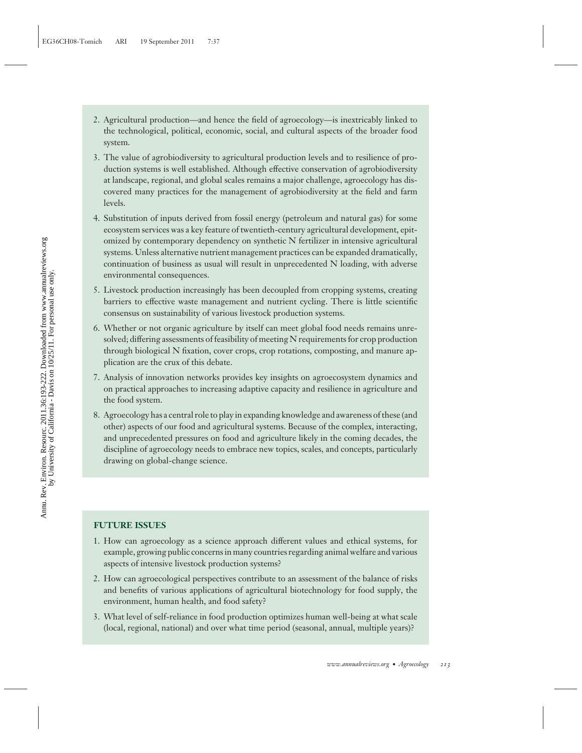- 2. Agricultural production—and hence the field of agroecology—is inextricably linked to the technological, political, economic, social, and cultural aspects of the broader food system.
- 3. The value of agrobiodiversity to agricultural production levels and to resilience of production systems is well established. Although effective conservation of agrobiodiversity at landscape, regional, and global scales remains a major challenge, agroecology has discovered many practices for the management of agrobiodiversity at the field and farm levels.
- 4. Substitution of inputs derived from fossil energy (petroleum and natural gas) for some ecosystem services was a key feature of twentieth-century agricultural development, epitomized by contemporary dependency on synthetic N fertilizer in intensive agricultural systems. Unless alternative nutrient management practices can be expanded dramatically, continuation of business as usual will result in unprecedented N loading, with adverse environmental consequences.
- 5. Livestock production increasingly has been decoupled from cropping systems, creating barriers to effective waste management and nutrient cycling. There is little scientific consensus on sustainability of various livestock production systems.
- 6. Whether or not organic agriculture by itself can meet global food needs remains unresolved; differing assessments of feasibility of meeting N requirements for crop production through biological N fixation, cover crops, crop rotations, composting, and manure application are the crux of this debate.
- 7. Analysis of innovation networks provides key insights on agroecosystem dynamics and on practical approaches to increasing adaptive capacity and resilience in agriculture and the food system.
- 8. Agroecology has a central role to play in expanding knowledge and awareness of these (and other) aspects of our food and agricultural systems. Because of the complex, interacting, and unprecedented pressures on food and agriculture likely in the coming decades, the discipline of agroecology needs to embrace new topics, scales, and concepts, particularly drawing on global-change science.

# **FUTURE ISSUES**

- 1. How can agroecology as a science approach different values and ethical systems, for example, growing public concerns in many countries regarding animal welfare and various aspects of intensive livestock production systems?
- 2. How can agroecological perspectives contribute to an assessment of the balance of risks and benefits of various applications of agricultural biotechnology for food supply, the environment, human health, and food safety?
- 3. What level of self-reliance in food production optimizes human well-being at what scale (local, regional, national) and over what time period (seasonal, annual, multiple years)?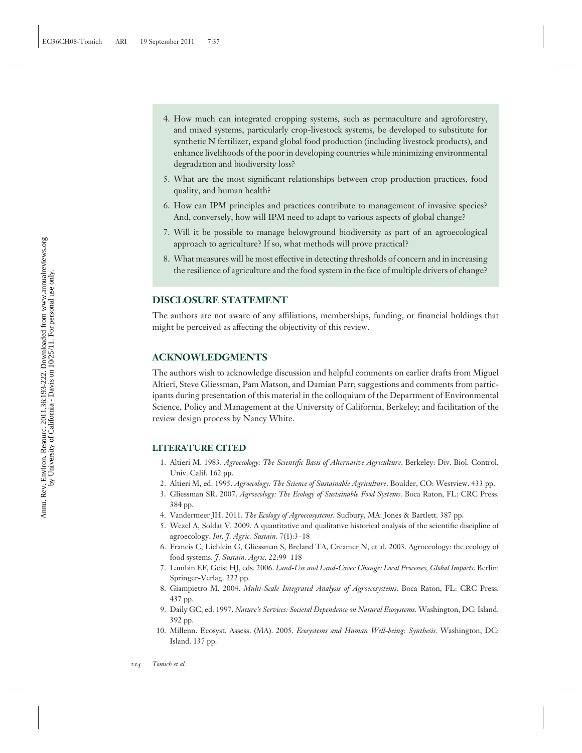- 4. How much can integrated cropping systems, such as permaculture and agroforestry, and mixed systems, particularly crop-livestock systems, be developed to substitute for synthetic N fertilizer, expand global food production (including livestock products), and enhance livelihoods of the poor in developing countries while minimizing environmental degradation and biodiversity loss?
- 5. What are the most significant relationships between crop production practices, food quality, and human health?
- 6. How can IPM principles and practices contribute to management of invasive species? And, conversely, how will IPM need to adapt to various aspects of global change?
- 7. Will it be possible to manage belowground biodiversity as part of an agroecological approach to agriculture? If so, what methods will prove practical?
- 8. What measures will be most effective in detecting thresholds of concern and in increasing the resilience of agriculture and the food system in the face of multiple drivers of change?

### **DISCLOSURE STATEMENT**

The authors are not aware of any affiliations, memberships, funding, or financial holdings that might be perceived as affecting the objectivity of this review.

### **ACKNOWLEDGMENTS**

The authors wish to acknowledge discussion and helpful comments on earlier drafts from Miguel Altieri, Steve Gliessman, Pam Matson, and Damian Parr; suggestions and comments from participants during presentation of this material in the colloquium of the Department of Environmental Science, Policy and Management at the University of California, Berkeley; and facilitation of the review design process by Nancy White.

### **LITERATURE CITED**

- 1. Altieri M. 1983. *Agroecology: The Scientific Basis of Alternative Agriculture*. Berkeley: Div. Biol. Control, Univ. Calif. 162 pp.
- 2. Altieri M, ed. 1995. *Agroecology: The Science of Sustainable Agriculture*. Boulder, CO: Westview. 433 pp.
- 3. Gliessman SR. 2007. *Agroecology: The Ecology of Sustainable Food Systems*. Boca Raton, FL: CRC Press. 384 pp.
- 4. Vandermeer JH. 2011. *The Ecology of Agroecosystems*. Sudbury, MA: Jones & Bartlett. 387 pp.
- 5. Wezel A, Soldat V. 2009. A quantitative and qualitative historical analysis of the scientific discipline of agroecology. *Int. J. Agric. Sustain.* 7(1):3–18
- 6. Francis C, Lieblein G, Gliessman S, Breland TA, Creamer N, et al. 2003. Agroecology: the ecology of food systems. *J. Sustain. Agric.* 22:99–118
- 7. Lambin EF, Geist HJ, eds. 2006. *Land-Use and Land-Cover Change: Local Processes, Global Impacts*. Berlin: Springer-Verlag. 222 pp.
- 8. Giampietro M. 2004. *Multi-Scale Integrated Analysis of Agroecosystems*. Boca Raton, FL: CRC Press. 437 pp.
- 9. Daily GC, ed. 1997. *Nature's Services: Societal Dependence on Natural Ecosystems.* Washington, DC: Island. 392 pp.
- 10. Millenn. Ecosyst. Assess. (MA). 2005. *Ecosystems and Human Well-being: Synthesis.* Washington, DC: Island. 137 pp.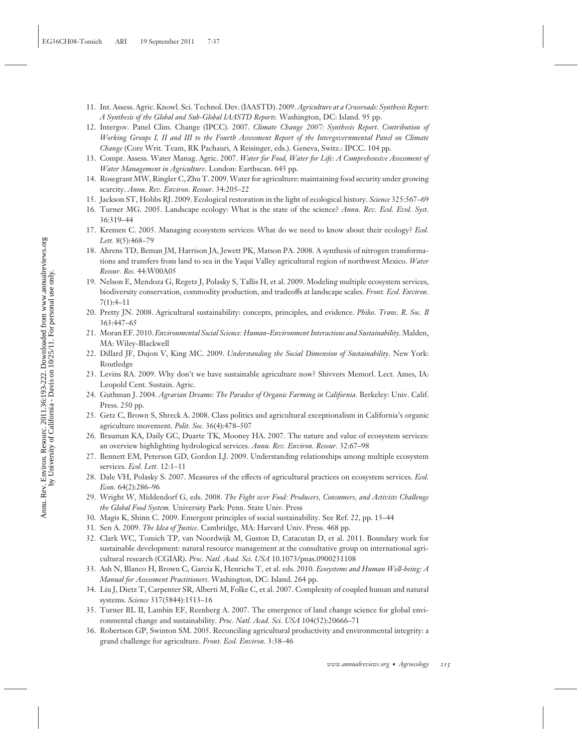- 11. Int. Assess. Agric. Knowl. Sci. Technol. Dev. (IAASTD). 2009.*Agriculture at a Crossroads: Synthesis Report: A Synthesis of the Global and Sub-Global IAASTD Reports.* Washington, DC: Island. 95 pp.
- 12. Intergov. Panel Clim. Change (IPCC). 2007. *Climate Change 2007: Synthesis Report*. *Contribution of Working Groups I, II and III to the Fourth Assessment Report of the Intergovernmental Panel on Climate Change* (Core Writ. Team, RK Pachauri, A Reisinger, eds.). Geneva, Switz.: IPCC. 104 pp.
- 13. Compr. Assess. Water Manag. Agric. 2007. *Water for Food, Water for Life: A Comprehensive Assessment of Water Management in Agriculture*. London: Earthscan. 645 pp.
- 14. Rosegrant MW, Ringler C, Zhu T. 2009.Water for agriculture: maintaining food security under growing scarcity. *Annu. Rev. Environ. Resour.* 34:205–22
- 15. Jackson ST, Hobbs RJ. 2009. Ecological restoration in the light of ecological history. *Science* 325:567–69
- 16. Turner MG. 2005. Landscape ecology: What is the state of the science? *Annu. Rev. Ecol. Evol. Syst.* 36:319–44
- 17. Kremen C. 2005. Managing ecosystem services: What do we need to know about their ecology? *Ecol. Lett.* 8(5):468–79
- 18. Ahrens TD, Beman JM, Harrison JA, Jewett PK, Matson PA. 2008. A synthesis of nitrogen transformations and transfers from land to sea in the Yaqui Valley agricultural region of northwest Mexico. *Water Resour. Res.* 44:W00A05
- 19. Nelson E, Mendoza G, Regetz J, Polasky S, Tallis H, et al. 2009. Modeling multiple ecosystem services, biodiversity conservation, commodity production, and tradeoffs at landscape scales. *Front. Ecol. Environ.* 7(1):4–11
- 20. Pretty JN. 2008. Agricultural sustainability: concepts, principles, and evidence. *Philos. Trans. R. Soc. B* 363:447–65
- 21. Moran EF. 2010. *Environmental Social Science: Human-Environment Interactions and Sustainability.*Malden, MA: Wiley-Blackwell
- 22. Dillard JF, Dujon V, King MC. 2009. *Understanding the Social Dimension of Sustainability.* New York: Routledge
- 23. Levins RA. 2009. Why don't we have sustainable agriculture now? Shivvers Memorl. Lect. Ames, IA: Leopold Cent. Sustain. Agric.
- 24. Guthman J. 2004. *Agrarian Dreams: The Paradox of Organic Farming in California.* Berkeley: Univ. Calif. Press. 250 pp.
- 25. Getz C, Brown S, Shreck A. 2008. Class politics and agricultural exceptionalism in California's organic agriculture movement. *Polit. Soc.* 36(4):478–507
- 26. Brauman KA, Daily GC, Duarte TK, Mooney HA. 2007. The nature and value of ecosystem services: an overview highlighting hydrological services. *Annu. Rev. Environ. Resour.* 32:67–98
- 27. Bennett EM, Peterson GD, Gordon LJ. 2009. Understanding relationships among multiple ecosystem services. *Ecol. Lett.* 12:1–11
- 28. Dale VH, Polasky S. 2007. Measures of the effects of agricultural practices on ecosystem services. *Ecol. Econ.* 64(2):286–96
- 29. Wright W, Middendorf G, eds. 2008. *The Fight over Food: Producers, Consumers, and Activists Challenge the Global Food System.* University Park: Penn. State Univ. Press
- 30. Magis K, Shinn C. 2009. Emergent principles of social sustainability. See Ref. 22, pp. 15–44
- 31. Sen A. 2009. *The Idea of Justice*. Cambridge, MA: Harvard Univ. Press. 468 pp.
- 32. Clark WC, Tomich TP, van Noordwijk M, Guston D, Catacutan D, et al. 2011. Boundary work for sustainable development: natural resource management at the consultative group on international agricultural research (CGIAR). *Proc. Natl. Acad. Sci. USA* 10.1073/pnas.0900231108
- 33. Ash N, Blanco H, Brown C, Garcia K, Henrichs T, et al. eds. 2010. *Ecosystems and Human Well-being: A Manual for Assessment Practitioners.* Washington, DC: Island. 264 pp.
- 34. Liu J, Dietz T, Carpenter SR, Alberti M, Folke C, et al. 2007. Complexity of coupled human and natural systems. *Science* 317(5844):1513–16
- 35. Turner BL II, Lambin EF, Reenberg A. 2007. The emergence of land change science for global environmental change and sustainability. *Proc. Natl. Acad. Sci. USA* 104(52):20666–71
- 36. Robertson GP, Swinton SM. 2005. Reconciling agricultural productivity and environmental integrity: a grand challenge for agriculture. *Front. Ecol. Environ.* 3:38–46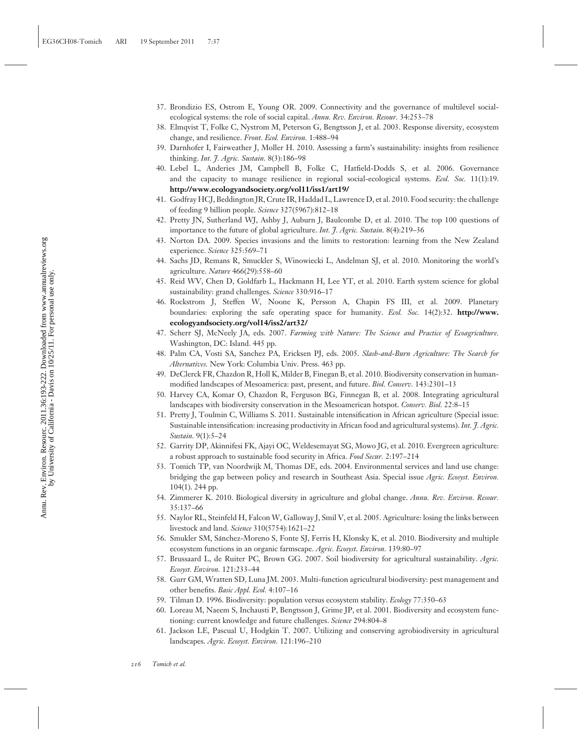- 37. Brondizio ES, Ostrom E, Young OR. 2009. Connectivity and the governance of multilevel socialecological systems: the role of social capital. *Annu. Rev. Environ. Resour.* 34:253–78
- 38. Elmqvist T, Folke C, Nystrom M, Peterson G, Bengtsson J, et al. 2003. Response diversity, ecosystem change, and resilience. *Front. Ecol. Environ.* 1:488–94
- 39. Darnhofer I, Fairweather J, Moller H. 2010. Assessing a farm's sustainability: insights from resilience thinking. *Int. J. Agric. Sustain.* 8(3):186–98
- 40. Lebel L, Anderies JM, Campbell B, Folke C, Hatfield-Dodds S, et al. 2006. Governance and the capacity to manage resilience in regional social-ecological systems. *Ecol. Soc.* 11(1):19. **<http://www.ecologyandsociety.org/vol11/iss1/art19/>**
- 41. Godfray HCJ, Beddington JR, Crute IR, Haddad L, Lawrence D, et al. 2010. Food security: the challenge of feeding 9 billion people. *Science* 327(5967):812–18
- 42. Pretty JN, Sutherland WJ, Ashby J, Auburn J, Baulcombe D, et al. 2010. The top 100 questions of importance to the future of global agriculture. *Int. J. Agric. Sustain.* 8(4):219–36
- 43. Norton DA. 2009. Species invasions and the limits to restoration: learning from the New Zealand experience. *Science* 325:569–71
- 44. Sachs JD, Remans R, Smuckler S, Winowiecki L, Andelman SJ, et al. 2010. Monitoring the world's agriculture. *Nature* 466(29):558–60
- 45. Reid WV, Chen D, Goldfarb L, Hackmann H, Lee YT, et al. 2010. Earth system science for global sustainability: grand challenges. *Science* 330:916–17
- 46. Rockstrom J, Steffen W, Noone K, Persson A, Chapin FS III, et al. 2009. Planetary boundaries: exploring the safe operating space for humanity. *Ecol. Soc.* 14(2):32. **[http://www.](http://www.ecologyandsociety.org/vol14/iss2/art32/) [ecologyandsociety.org/vol14/iss2/art32/](http://www.ecologyandsociety.org/vol14/iss2/art32/)**
- 47. Scherr SJ, McNeely JA, eds. 2007. *Farming with Nature: The Science and Practice of Ecoagriculture.* Washington, DC: Island. 445 pp.
- 48. Palm CA, Vosti SA, Sanchez PA, Ericksen PJ, eds. 2005. *Slash-and-Burn Agriculture: The Search for Alternatives.* New York: Columbia Univ. Press. 463 pp.
- 49. DeClerck FR, Chazdon R, Holl K, Milder B, Finegan B, et al. 2010. Biodiversity conservation in humanmodified landscapes of Mesoamerica: past, present, and future. *Biol. Conserv.* 143:2301–13
- 50. Harvey CA, Komar O, Chazdon R, Ferguson BG, Finnegan B, et al. 2008. Integrating agricultural landscapes with biodiversity conservation in the Mesoamerican hotspot. *Conserv. Biol.* 22:8–15
- 51. Pretty J, Toulmin C, Williams S. 2011. Sustainable intensification in African agriculture (Special issue: Sustainable intensification: increasing productivity in African food and agricultural systems). *Int. J. Agric. Sustain.* 9(1):5–24
- 52. Garrity DP, Akinnifesi FK, Ajayi OC, Weldesemayat SG, Mowo JG, et al. 2010. Evergreen agriculture: a robust approach to sustainable food security in Africa. *Food Secur.* 2:197–214
- 53. Tomich TP, van Noordwijk M, Thomas DE, eds. 2004. Environmental services and land use change: bridging the gap between policy and research in Southeast Asia. Special issue *Agric. Ecosyst. Environ.* 104(1). 244 pp.
- 54. Zimmerer K. 2010. Biological diversity in agriculture and global change. *Annu. Rev. Environ. Resour.* 35:137–66
- 55. Naylor RL, Steinfeld H, Falcon W, Galloway J, Smil V, et al. 2005. Agriculture: losing the links between livestock and land. *Science* 310(5754):1621–22
- 56. Smukler SM, Sanchez-Moreno S, Fonte SJ, Ferris H, Klonsky K, et al. 2010. Biodiversity and multiple ´ ecosystem functions in an organic farmscape. *Agric. Ecosyst. Environ.* 139:80–97
- 57. Brussaard L, de Ruiter PC, Brown GG. 2007. Soil biodiversity for agricultural sustainability. *Agric. Ecosyst. Environ.* 121:233–44
- 58. Gurr GM, Wratten SD, Luna JM. 2003. Multi-function agricultural biodiversity: pest management and other benefits. *Basic Appl. Ecol.* 4:107–16
- 59. Tilman D. 1996. Biodiversity: population versus ecosystem stability. *Ecology* 77:350–63
- 60. Loreau M, Naeem S, Inchausti P, Bengtsson J, Grime JP, et al. 2001. Biodiversity and ecosystem functioning: current knowledge and future challenges. *Science* 294:804–8
- 61. Jackson LE, Pascual U, Hodgkin T. 2007. Utilizing and conserving agrobiodiversity in agricultural landscapes. *Agric. Ecosyst. Environ.* 121:196–210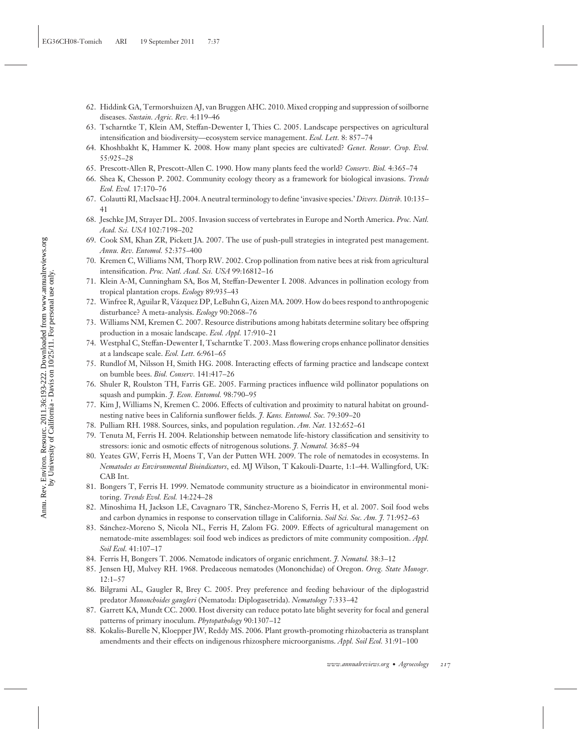- 62. Hiddink GA, Termorshuizen AJ, van Bruggen AHC. 2010. Mixed cropping and suppression of soilborne diseases. *Sustain. Agric. Rev.* 4:119–46
- 63. Tscharntke T, Klein AM, Steffan-Dewenter I, Thies C. 2005. Landscape perspectives on agricultural intensification and biodiversity—ecosystem service management. *Ecol. Lett.* 8: 857–74
- 64. Khoshbakht K, Hammer K. 2008. How many plant species are cultivated? *Genet. Resour. Crop. Evol.* 55:925–28
- 65. Prescott-Allen R, Prescott-Allen C. 1990. How many plants feed the world? *Conserv. Biol.* 4:365–74
- 66. Shea K, Chesson P. 2002. Community ecology theory as a framework for biological invasions. *Trends Ecol. Evol.* 17:170–76
- 67. Colautti RI,MacIsaac HJ. 2004. A neutral terminology to define 'invasive species.' *Divers. Distrib.* 10:135– 41
- 68. Jeschke JM, Strayer DL. 2005. Invasion success of vertebrates in Europe and North America. *Proc. Natl. Acad. Sci. USA* 102:7198–202
- 69. Cook SM, Khan ZR, Pickett JA. 2007. The use of push-pull strategies in integrated pest management. *Annu. Rev. Entomol.* 52:375–400
- 70. Kremen C, Williams NM, Thorp RW. 2002. Crop pollination from native bees at risk from agricultural intensification. *Proc. Natl. Acad. Sci. USA* 99:16812–16
- 71. Klein A-M, Cunningham SA, Bos M, Steffan-Dewenter I. 2008. Advances in pollination ecology from tropical plantation crops. *Ecology* 89:935–43
- 72. Winfree R, Aguilar R, Vazquez DP, LeBuhn G, Aizen MA. 2009. How do bees respond to anthropogenic ´ disturbance? A meta-analysis. *Ecology* 90:2068–76
- 73. Williams NM, Kremen C. 2007. Resource distributions among habitats determine solitary bee offspring production in a mosaic landscape. *Ecol. Appl.* 17:910–21
- 74. Westphal C, Steffan-Dewenter I, Tscharntke T. 2003. Mass flowering crops enhance pollinator densities at a landscape scale. *Ecol. Lett.* 6:961–65
- 75. Rundlof M, Nilsson H, Smith HG. 2008. Interacting effects of farming practice and landscape context on bumble bees. *Biol. Conserv.* 141:417–26
- 76. Shuler R, Roulston TH, Farris GE. 2005. Farming practices influence wild pollinator populations on squash and pumpkin. *J. Econ. Entomol.* 98:790–95
- 77. Kim J, Williams N, Kremen C. 2006. Effects of cultivation and proximity to natural habitat on groundnesting native bees in California sunflower fields. *J. Kans. Entomol. Soc.* 79:309–20
- 78. Pulliam RH. 1988. Sources, sinks, and population regulation. *Am. Nat.* 132:652–61
- 79. Tenuta M, Ferris H. 2004. Relationship between nematode life-history classification and sensitivity to stressors: ionic and osmotic effects of nitrogenous solutions. *J. Nematol.* 36:85–94
- 80. Yeates GW, Ferris H, Moens T, Van der Putten WH. 2009. The role of nematodes in ecosystems. In *Nematodes as Environmental Bioindicators*, ed. MJ Wilson, T Kakouli-Duarte, 1:1–44. Wallingford, UK: CAB Int.
- 81. Bongers T, Ferris H. 1999. Nematode community structure as a bioindicator in environmental monitoring. *Trends Evol. Ecol.* 14:224–28
- 82. Minoshima H, Jackson LE, Cavagnaro TR, Sanchez-Moreno S, Ferris H, et al. 2007. Soil food webs ´ and carbon dynamics in response to conservation tillage in California. *Soil Sci. Soc. Am. J.* 71:952–63
- 83. Sanchez-Moreno S, Nicola NL, Ferris H, Zalom FG. 2009. Effects of agricultural management on ´ nematode-mite assemblages: soil food web indices as predictors of mite community composition. *Appl. Soil Ecol.* 41:107–17
- 84. Ferris H, Bongers T. 2006. Nematode indicators of organic enrichment. *J. Nematol.* 38:3–12
- 85. Jensen HJ, Mulvey RH. 1968. Predaceous nematodes (Mononchidae) of Oregon. *Oreg. State Monogr.*  $12:1-57$
- 86. Bilgrami AL, Gaugler R, Brey C. 2005. Prey preference and feeding behaviour of the diplogastrid predator *Mononchoides gaugleri* (Nematoda: Diplogasetrida). *Nematology* 7:333–42
- 87. Garrett KA, Mundt CC. 2000. Host diversity can reduce potato late blight severity for focal and general patterns of primary inoculum. *Phytopathology* 90:1307–12
- 88. Kokalis-Burelle N, Kloepper JW, Reddy MS. 2006. Plant growth-promoting rhizobacteria as transplant amendments and their effects on indigenous rhizosphere microorganisms. *Appl. Soil Ecol.* 31:91–100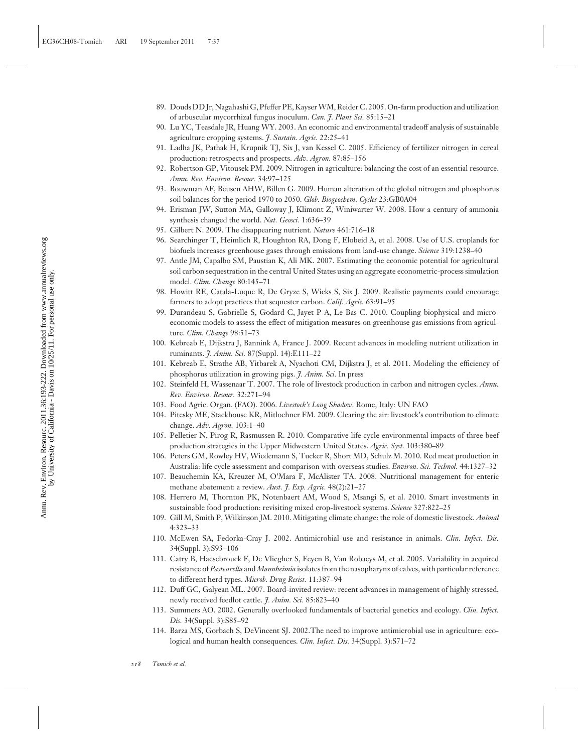- 89. Douds DD Jr, Nagahashi G, Pfeffer PE, KayserWM, Reider C. 2005. On-farm production and utilization of arbuscular mycorrhizal fungus inoculum. *Can. J. Plant Sci.* 85:15–21
- 90. Lu YC, Teasdale JR, Huang WY. 2003. An economic and environmental tradeoff analysis of sustainable agriculture cropping systems. *J. Sustain. Agric.* 22:25–41
- 91. Ladha JK, Pathak H, Krupnik TJ, Six J, van Kessel C. 2005. Efficiency of fertilizer nitrogen in cereal production: retrospects and prospects. *Adv. Agron.* 87:85–156
- 92. Robertson GP, Vitousek PM. 2009. Nitrogen in agriculture: balancing the cost of an essential resource. *Annu. Rev. Environ. Resour.* 34:97–125
- 93. Bouwman AF, Beusen AHW, Billen G. 2009. Human alteration of the global nitrogen and phosphorus soil balances for the period 1970 to 2050. *Glob. Biogeochem. Cycles* 23:GB0A04
- 94. Erisman JW, Sutton MA, Galloway J, Klimont Z, Winiwarter W. 2008. How a century of ammonia synthesis changed the world. *Nat. Geosci.* 1:636–39
- 95. Gilbert N. 2009. The disappearing nutrient. *Nature* 461:716–18
- 96. Searchinger T, Heimlich R, Houghton RA, Dong F, Elobeid A, et al. 2008. Use of U.S. croplands for biofuels increases greenhouse gases through emissions from land-use change. *Science* 319:1238–40
- 97. Antle JM, Capalbo SM, Paustian K, Ali MK. 2007. Estimating the economic potential for agricultural soil carbon sequestration in the central United States using an aggregate econometric-process simulation model. *Clim. Change* 80:145–71
- 98. Howitt RE, Catala-Luque R, De Gryze S, Wicks S, Six J. 2009. Realistic payments could encourage farmers to adopt practices that sequester carbon. *Calif. Agric.* 63:91–95
- 99. Durandeau S, Gabrielle S, Godard C, Jayet P-A, Le Bas C. 2010. Coupling biophysical and microeconomic models to assess the effect of mitigation measures on greenhouse gas emissions from agriculture. *Clim. Change* 98:51–73
- 100. Kebreab E, Dijkstra J, Bannink A, France J. 2009. Recent advances in modeling nutrient utilization in ruminants. *J. Anim. Sci.* 87(Suppl. 14):E111–22
- 101. Kebreab E, Strathe AB, Yitbarek A, Nyachoti CM, Dijkstra J, et al. 2011. Modeling the efficiency of phosphorus utilization in growing pigs. *J. Anim. Sci.* In press
- 102. Steinfeld H, Wassenaar T. 2007. The role of livestock production in carbon and nitrogen cycles. *Annu. Rev. Environ. Resour.* 32:271–94
- 103. Food Agric. Organ. (FAO). 2006. *Livestock's Long Shadow*. Rome, Italy: UN FAO
- 104. Pitesky ME, Stackhouse KR, Mitloehner FM. 2009. Clearing the air: livestock's contribution to climate change. *Adv. Agron.* 103:1–40
- 105. Pelletier N, Pirog R, Rasmussen R. 2010. Comparative life cycle environmental impacts of three beef production strategies in the Upper Midwestern United States. *Agric. Syst.* 103:380–89
- 106. Peters GM, Rowley HV, Wiedemann S, Tucker R, Short MD, Schulz M. 2010. Red meat production in Australia: life cycle assessment and comparison with overseas studies. *Environ. Sci. Technol.* 44:1327–32
- 107. Beauchemin KA, Kreuzer M, O'Mara F, McAlister TA. 2008. Nutritional management for enteric methane abatement: a review. *Aust. J. Exp. Agric.* 48(2):21–27
- 108. Herrero M, Thornton PK, Notenbaert AM, Wood S, Msangi S, et al. 2010. Smart investments in sustainable food production: revisiting mixed crop-livestock systems. *Science* 327:822–25
- 109. Gill M, Smith P, Wilkinson JM. 2010. Mitigating climate change: the role of domestic livestock. *Animal* 4:323–33
- 110. McEwen SA, Fedorka-Cray J. 2002. Antimicrobial use and resistance in animals. *Clin. Infect. Dis.* 34(Suppl. 3):S93–106
- 111. Catry B, Haesebrouck F, De Vliegher S, Feyen B, Van Robaeys M, et al. 2005. Variability in acquired resistance of *Pasteurella* and *Mannheimia* isolates from the nasopharynx of calves, with particular reference to different herd types. *Microb. Drug Resist.* 11:387–94
- 112. Duff GC, Galyean ML. 2007. Board-invited review: recent advances in management of highly stressed, newly received feedlot cattle. *J. Anim. Sci.* 85:823–40
- 113. Summers AO. 2002. Generally overlooked fundamentals of bacterial genetics and ecology. *Clin. Infect. Dis.* 34(Suppl. 3):S85–92
- 114. Barza MS, Gorbach S, DeVincent SJ. 2002.The need to improve antimicrobial use in agriculture: ecological and human health consequences. *Clin. Infect. Dis.* 34(Suppl. 3):S71–72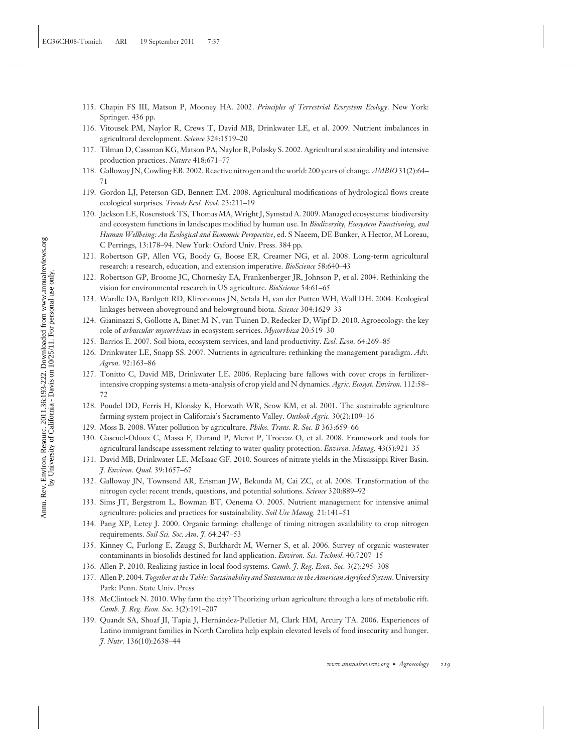- 115. Chapin FS III, Matson P, Mooney HA. 2002. *Principles of Terrestrial Ecosystem Ecology*. New York: Springer. 436 pp.
- 116. Vitousek PM, Naylor R, Crews T, David MB, Drinkwater LE, et al. 2009. Nutrient imbalances in agricultural development. *Science* 324:1519–20
- 117. Tilman D, Cassman KG, Matson PA, Naylor R, Polasky S. 2002. Agricultural sustainability and intensive production practices. *Nature* 418:671–77
- 118. Galloway JN, Cowling EB. 2002. Reactive nitrogen and the world: 200 years of change.*AMBIO* 31(2):64– 71
- 119. Gordon LJ, Peterson GD, Bennett EM. 2008. Agricultural modifications of hydrological flows create ecological surprises. *Trends Ecol. Evol.* 23:211–19
- 120. Jackson LE, Rosenstock TS, Thomas MA,Wright J, Symstad A. 2009. Managed ecosystems: biodiversity and ecosystem functions in landscapes modified by human use. In *Biodiversity, Ecosystem Functioning, and Human Wellbeing: An Ecological and Economic Perspective*, ed. S Naeem, DE Bunker, A Hector, M Loreau, C Perrings, 13:178–94. New York: Oxford Univ. Press. 384 pp.
- 121. Robertson GP, Allen VG, Boody G, Boose ER, Creamer NG, et al. 2008. Long-term agricultural research: a research, education, and extension imperative. *BioScience* 58:640–43
- 122. Robertson GP, Broome JC, Chornesky EA, Frankenberger JR, Johnson P, et al. 2004. Rethinking the vision for environmental research in US agriculture. *BioScience* 54:61–65
- 123. Wardle DA, Bardgett RD, Klironomos JN, Setala H, van der Putten WH, Wall DH. 2004. Ecological linkages between aboveground and belowground biota. *Science* 304:1629–33
- 124. Gianinazzi S, Gollotte A, Binet M-N, van Tuinen D, Redecker D, Wipf D. 2010. Agroecology: the key role of *arbuscular mycorrhizas* in ecosystem services. *Mycorrhiza* 20:519–30
- 125. Barrios E. 2007. Soil biota, ecosystem services, and land productivity. *Ecol. Econ.* 64:269–85
- 126. Drinkwater LE, Snapp SS. 2007. Nutrients in agriculture: rethinking the management paradigm. *Adv. Agron.* 92:163–86
- 127. Tonitto C, David MB, Drinkwater LE. 2006. Replacing bare fallows with cover crops in fertilizerintensive cropping systems: a meta-analysis of crop yield and N dynamics. *Agric. Ecosyst. Environ.* 112:58– 72
- 128. Poudel DD, Ferris H, Klonsky K, Horwath WR, Scow KM, et al. 2001. The sustainable agriculture farming system project in California's Sacramento Valley. *Outlook Agric.* 30(2):109–16
- 129. Moss B. 2008. Water pollution by agriculture. *Philos. Trans. R. Soc. B* 363:659–66
- 130. Gascuel-Odoux C, Massa F, Durand P, Merot P, Troccaz O, et al. 2008. Framework and tools for agricultural landscape assessment relating to water quality protection. *Environ. Manag.* 43(5):921–35
- 131. David MB, Drinkwater LE, McIsaac GF. 2010. Sources of nitrate yields in the Mississippi River Basin. *J. Environ. Qual.* 39:1657–67
- 132. Galloway JN, Townsend AR, Erisman JW, Bekunda M, Cai ZC, et al. 2008. Transformation of the nitrogen cycle: recent trends, questions, and potential solutions. *Science* 320:889–92
- 133. Sims JT, Bergstrom L, Bowman BT, Oenema O. 2005. Nutrient management for intensive animal agriculture: policies and practices for sustainability. *Soil Use Manag.* 21:141–51
- 134. Pang XP, Letey J. 2000. Organic farming: challenge of timing nitrogen availability to crop nitrogen requirements. *Soil Sci. Soc. Am. J.* 64:247–53
- 135. Kinney C, Furlong E, Zaugg S, Burkhardt M, Werner S, et al. 2006. Survey of organic wastewater contaminants in biosolids destined for land application. *Environ. Sci. Technol.* 40:7207–15
- 136. Allen P. 2010. Realizing justice in local food systems. *Camb. J. Reg. Econ. Soc.* 3(2):295–308
- 137. Allen P. 2004.*Together at the Table: Sustainability and Sustenance in the American Agrifood System*. University Park: Penn. State Univ. Press
- 138. McClintock N. 2010. Why farm the city? Theorizing urban agriculture through a lens of metabolic rift. *Camb. J. Reg. Econ. Soc.* 3(2):191–207
- 139. Quandt SA, Shoaf JI, Tapia J, Hernandez-Pelletier M, Clark HM, Arcury TA. 2006. Experiences of ´ Latino immigrant families in North Carolina help explain elevated levels of food insecurity and hunger. *J. Nutr.* 136(10):2638–44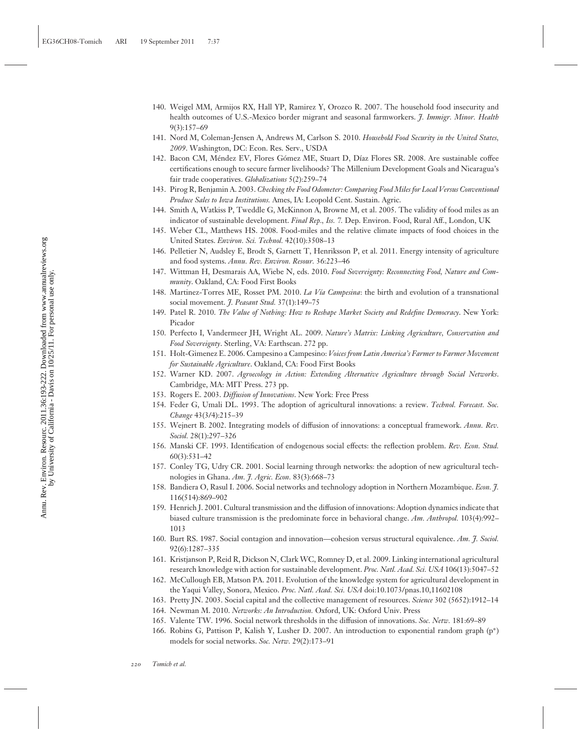- 140. Weigel MM, Armijos RX, Hall YP, Ramirez Y, Orozco R. 2007. The household food insecurity and health outcomes of U.S.-Mexico border migrant and seasonal farmworkers. *J. Immigr. Minor. Health* 9(3):157–69
- 141. Nord M, Coleman-Jensen A, Andrews M, Carlson S. 2010. *Household Food Security in the United States, 2009*. Washington, DC: Econ. Res. Serv., USDA
- 142. Bacon CM, Méndez EV, Flores Gómez ME, Stuart D, Díaz Flores SR. 2008. Are sustainable coffee certifications enough to secure farmer livelihoods? The Millenium Development Goals and Nicaragua's fair trade cooperatives. *Globalizations* 5(2):259–74
- 143. Pirog R, Benjamin A. 2003. *Checking the Food Odometer: Comparing Food Miles for Local Versus Conventional Produce Sales to Iowa Institutions.* Ames, IA: Leopold Cent. Sustain. Agric.
- 144. Smith A, Watkiss P, Tweddle G, McKinnon A, Browne M, et al. 2005. The validity of food miles as an indicator of sustainable development. *Final Rep., Iss. 7.* Dep. Environ. Food, Rural Aff., London, UK
- 145. Weber CL, Matthews HS. 2008. Food-miles and the relative climate impacts of food choices in the United States. *Environ. Sci. Technol.* 42(10):3508–13
- 146. Pelletier N, Audsley E, Brodt S, Garnett T, Henriksson P, et al. 2011. Energy intensity of agriculture and food systems. *Annu. Rev. Environ. Resour.* 36:223–46
- 147. Wittman H, Desmarais AA, Wiebe N, eds. 2010. *Food Sovereignty: Reconnecting Food, Nature and Community*. Oakland, CA: Food First Books
- 148. Martinez-Torres ME, Rosset PM. 2010. *La V´ıa Campesina*: the birth and evolution of a transnational social movement. *J. Peasant Stud.* 37(1):149–75
- 149. Patel R. 2010. *The Value of Nothing: How to Reshape Market Society and Redefine Democracy*. New York: Picador
- 150. Perfecto I, Vandermeer JH, Wright AL. 2009. *Nature's Matrix: Linking Agriculture, Conservation and Food Sovereignty*. Sterling, VA: Earthscan. 272 pp.
- 151. Holt-Gimenez E. 2006. Campesino a Campesino: *Voices from Latin America's Farmer to Farmer Movement for Sustainable Agriculture*. Oakland, CA: Food First Books
- 152. Warner KD. 2007. *Agroecology in Action: Extending Alternative Agriculture through Social Networks*. Cambridge, MA: MIT Press. 273 pp.
- 153. Rogers E. 2003. *Diffusion of Innovations*. New York: Free Press
- 154. Feder G, Umali DL. 1993. The adoption of agricultural innovations: a review. *Technol. Forecast. Soc. Change* 43(3/4):215–39
- 155. Wejnert B. 2002. Integrating models of diffusion of innovations: a conceptual framework. *Annu. Rev. Sociol.* 28(1):297–326
- 156. Manski CF. 1993. Identification of endogenous social effects: the reflection problem. *Rev. Econ. Stud.* 60(3):531–42
- 157. Conley TG, Udry CR. 2001. Social learning through networks: the adoption of new agricultural technologies in Ghana. *Am. J. Agric. Econ.* 83(3):668–73
- 158. Bandiera O, Rasul I. 2006. Social networks and technology adoption in Northern Mozambique. *Econ. J.* 116(514):869–902
- 159. Henrich J. 2001. Cultural transmission and the diffusion of innovations: Adoption dynamics indicate that biased culture transmission is the predominate force in behavioral change. *Am. Anthropol.* 103(4):992– 1013
- 160. Burt RS. 1987. Social contagion and innovation—cohesion versus structural equivalence. *Am. J. Sociol.* 92(6):1287–335
- 161. Kristjanson P, Reid R, Dickson N, Clark WC, Romney D, et al. 2009. Linking international agricultural research knowledge with action for sustainable development. *Proc. Natl. Acad. Sci. USA* 106(13):5047–52
- 162. McCullough EB, Matson PA. 2011. Evolution of the knowledge system for agricultural development in the Yaqui Valley, Sonora, Mexico. *Proc. Natl. Acad. Sci. USA* doi:10.1073/pnas.10,11602108
- 163. Pretty JN. 2003. Social capital and the collective management of resources. *Science* 302 (5652):1912–14
- 164. Newman M. 2010. *Networks: An Introduction.* Oxford, UK: Oxford Univ. Press
- 165. Valente TW. 1996. Social network thresholds in the diffusion of innovations. *Soc. Netw.* 181:69–89
- 166. Robins G, Pattison P, Kalish Y, Lusher D. 2007. An introduction to exponential random graph (p∗) models for social networks. *Soc. Netw.* 29(2):173–91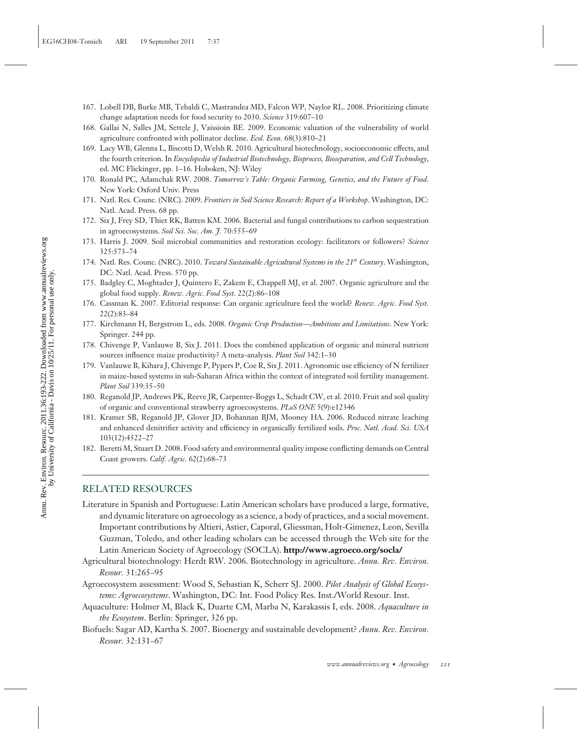- 167. Lobell DB, Burke MB, Tebaldi C, Mastrandea MD, Falcon WP, Naylor RL. 2008. Prioritizing climate change adaptation needs for food security to 2030. *Science* 319:607–10
- 168. Gallai N, Salles JM, Settele J, Vaissioin BE. 2009. Economic valuation of the vulnerability of world agriculture confronted with pollinator decline. *Ecol. Econ.* 68(3):810–21
- 169. Lacy WB, Glenna L, Biscotti D, Welsh R. 2010. Agricultural biotechnology, socioeconomic effects, and the fourth criterion. In *Encyclopedia of Industrial Biotechnology, Bioprocess, Bioseparation, and Cell Technology*, ed. MC Flickinger, pp. 1–16. Hoboken, NJ: Wiley
- 170. Ronald PC, Adamchak RW. 2008. *Tomorrow's Table: Organic Farming, Genetics, and the Future of Food.* New York: Oxford Univ. Press
- 171. Natl. Res. Counc. (NRC). 2009. *Frontiers in Soil Science Research: Report of a Workshop*. Washington, DC: Natl. Acad. Press. 68 pp.
- 172. Six J, Frey SD, Thiet RK, Batten KM. 2006. Bacterial and fungal contributions to carbon sequestration in agroecosystems. *Soil Sci. Soc. Am. J.* 70:555–69
- 173. Harris J. 2009. Soil microbial communities and restoration ecology: facilitators or followers? *Science* 325:573–74
- 174. Natl. Res. Counc. (NRC). 2010. *Toward Sustainable Agricultural Systems in the 21st Century*. Washington, DC: Natl. Acad. Press. 570 pp.
- 175. Badgley C, Moghtader J, Quintero E, Zakem E, Chappell MJ, et al. 2007. Organic agriculture and the global food supply. *Renew. Agric. Food Syst.* 22(2):86–108
- 176. Cassman K. 2007. Editorial response: Can organic agriculture feed the world? *Renew. Agric. Food Syst.* 22(2):83–84
- 177. Kirchmann H, Bergstrom L, eds. 2008. *Organic Crop Production—Ambitions and Limitations*. New York: Springer. 244 pp.
- 178. Chivenge P, Vanlauwe B, Six J. 2011. Does the combined application of organic and mineral nutrient sources influence maize productivity? A meta-analysis. *Plant Soil* 342:1–30
- 179. Vanlauwe B, Kihara J, Chivenge P, Pypers P, Coe R, Six J. 2011. Agronomic use efficiency of N fertilizer in maize-based systems in sub-Saharan Africa within the context of integrated soil fertility management. *Plant Soil* 339:35–50
- 180. Reganold JP, Andrews PK, Reeve JR, Carpenter-Boggs L, Schadt CW, et al. 2010. Fruit and soil quality of organic and conventional strawberry agroecosystems. *PLoS ONE* 5(9):e12346
- 181. Kramer SB, Reganold JP, Glover JD, Bohannan BJM, Mooney HA. 2006. Reduced nitrate leaching and enhanced denitrifier activity and efficiency in organically fertilized soils. *Proc. Natl. Acad. Sci. USA* 103(12):4522–27
- 182. Beretti M, Stuart D. 2008. Food safety and environmental quality impose conflicting demands on Central Coast growers. *Calif. Agric.* 62(2):68–73

### RELATED RESOURCES

- Literature in Spanish and Portuguese: Latin American scholars have produced a large, formative, and dynamic literature on agroecology as a science, a body of practices, and a social movement. Important contributions by Altieri, Astier, Caporal, Gliessman, Holt-Gimenez, Leon, Sevilla Guzman, Toledo, and other leading scholars can be accessed through the Web site for the Latin American Society of Agroecology (SOCLA). **<http://www.agroeco.org/socla/>**
- Agricultural biotechnology: Herdt RW. 2006. Biotechnology in agriculture. *Annu. Rev. Environ. Resour.* 31:265–95
- Agroecosystem assessment: Wood S, Sebastian K, Scherr SJ. 2000. *Pilot Analysis of Global Ecosystems: Agroecosystems*. Washington, DC: Int. Food Policy Res. Inst./World Resour. Inst.
- Aquaculture: Holmer M, Black K, Duarte CM, Marba N, Karakassis I, eds. 2008. *Aquaculture in the Ecosystem*. Berlin: Springer, 326 pp.
- Biofuels: Sagar AD, Kartha S. 2007. Bioenergy and sustainable development? *Annu. Rev. Environ. Resour.* 32:131–67